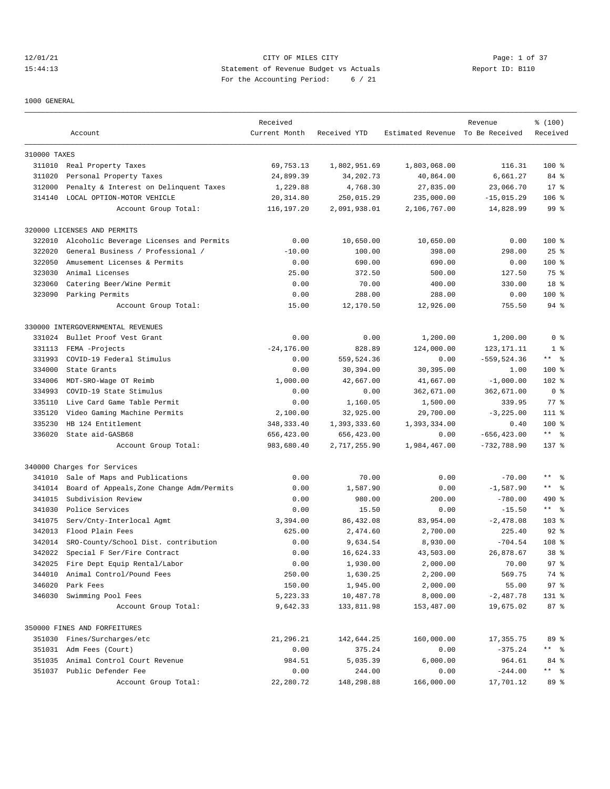### 12/01/21 CITY OF MILES CITY Page: 1 of 37 15:44:13 Statement of Revenue Budget vs Actuals Report ID: B110 For the Accounting Period: 6 / 21

#### 1000 GENERAL

|              |                                                  | Received      |              |                                  | Revenue        | % (100)         |
|--------------|--------------------------------------------------|---------------|--------------|----------------------------------|----------------|-----------------|
|              | Account                                          | Current Month | Received YTD | Estimated Revenue To Be Received |                | Received        |
| 310000 TAXES |                                                  |               |              |                                  |                |                 |
| 311010       | Real Property Taxes                              | 69,753.13     | 1,802,951.69 | 1,803,068.00                     | 116.31         | $100*$          |
| 311020       | Personal Property Taxes                          | 24,899.39     | 34,202.73    | 40,864.00                        | 6,661.27       | $84*$           |
| 312000       | Penalty & Interest on Delinquent Taxes           | 1,229.88      | 4,768.30     | 27,835.00                        | 23,066.70      | $17*$           |
| 314140       | LOCAL OPTION-MOTOR VEHICLE                       | 20, 314.80    | 250,015.29   | 235,000.00                       | $-15,015.29$   | $106$ %         |
|              | Account Group Total:                             | 116,197.20    | 2,091,938.01 | 2,106,767.00                     | 14,828.99      | 99 %            |
|              | 320000 LICENSES AND PERMITS                      |               |              |                                  |                |                 |
| 322010       | Alcoholic Beverage Licenses and Permits          | 0.00          | 10,650.00    | 10,650.00                        | 0.00           | $100$ %         |
| 322020       | General Business / Professional /                | $-10.00$      | 100.00       | 398.00                           | 298.00         | $25$ $%$        |
| 322050       | Amusement Licenses & Permits                     | 0.00          | 690.00       | 690.00                           | 0.00           | $100$ %         |
| 323030       | Animal Licenses                                  | 25.00         | 372.50       | 500.00                           | 127.50         | 75 %            |
| 323060       | Catering Beer/Wine Permit                        | 0.00          | 70.00        | 400.00                           | 330.00         | 18 %            |
| 323090       | Parking Permits                                  | 0.00          | 288.00       | 288.00                           | 0.00           | $100$ %         |
|              | Account Group Total:                             | 15.00         | 12,170.50    | 12,926.00                        | 755.50         | $94$ %          |
|              | 330000 INTERGOVERNMENTAL REVENUES                |               |              |                                  |                |                 |
| 331024       | Bullet Proof Vest Grant                          | 0.00          | 0.00         | 1,200.00                         | 1,200.00       | 0 <sup>8</sup>  |
| 331113       | FEMA -Projects                                   | $-24, 176.00$ | 828.89       | 124,000.00                       | 123, 171. 11   | 1 <sup>8</sup>  |
| 331993       | COVID-19 Federal Stimulus                        | 0.00          | 559,524.36   | 0.00                             | $-559, 524.36$ | $***$ $ -$      |
| 334000       | State Grants                                     | 0.00          | 30,394.00    | 30,395.00                        | 1.00           | $100$ %         |
|              |                                                  | 1,000.00      |              |                                  |                | 102 %           |
| 334006       | MDT-SRO-Wage OT Reimb<br>COVID-19 State Stimulus |               | 42,667.00    | 41,667.00<br>362,671.00          | $-1,000.00$    | 0 <sup>8</sup>  |
| 334993       |                                                  | 0.00          | 0.00         |                                  | 362,671.00     |                 |
| 335110       | Live Card Game Table Permit                      | 0.00          | 1,160.05     | 1,500.00                         | 339.95         | $77$ $%$        |
| 335120       | Video Gaming Machine Permits                     | 2,100.00      | 32,925.00    | 29,700.00                        | $-3, 225.00$   | $111$ %         |
| 335230       | HB 124 Entitlement                               | 348, 333.40   | 1,393,333.60 | 1,393,334.00                     | 0.40           | 100 %           |
| 336020       | State aid-GASB68                                 | 656,423.00    | 656,423.00   | 0.00                             | $-656, 423.00$ | $***$ $ -$      |
|              | Account Group Total:                             | 983,680.40    | 2,717,255.90 | 1,984,467.00                     | $-732,788.90$  | $137$ %         |
|              | 340000 Charges for Services                      |               |              |                                  |                |                 |
| 341010       | Sale of Maps and Publications                    | 0.00          | 70.00        | 0.00                             | $-70.00$       | $***$ $ -$      |
| 341014       | Board of Appeals, Zone Change Adm/Permits        | 0.00          | 1,587.90     | 0.00                             | $-1,587.90$    | $***$ $ -$      |
| 341015       | Subdivision Review                               | 0.00          | 980.00       | 200.00                           | $-780.00$      | $490*$          |
| 341030       | Police Services                                  | 0.00          | 15.50        | 0.00                             | $-15.50$       | ** 왕            |
| 341075       | Serv/Cnty-Interlocal Agmt                        | 3,394.00      | 86,432.08    | 83,954.00                        | $-2,478.08$    | $103$ %         |
| 342013       | Flood Plain Fees                                 | 625.00        | 2,474.60     | 2,700.00                         | 225.40         | $92$ $%$        |
| 342014       | SRO-County/School Dist. contribution             | 0.00          | 9,634.54     | 8,930.00                         | $-704.54$      | 108 %           |
| 342022       | Special F Ser/Fire Contract                      | 0.00          | 16,624.33    | 43,503.00                        | 26,878.67      | 38 <sup>8</sup> |
|              | 342025 Fire Dept Equip Rental/Labor              | 0.00          | 1,930.00     | 2,000.00                         | 70.00          | 97 <sup>8</sup> |
| 344010       | Animal Control/Pound Fees                        | 250.00        | 1,630.25     | 2,200.00                         | 569.75         | 74 %            |
| 346020       | Park Fees                                        | 150.00        | 1,945.00     | 2,000.00                         | 55.00          | 97%             |
|              | 346030 Swimming Pool Fees                        | 5, 223.33     | 10,487.78    | 8,000.00                         | $-2,487.78$    | 131 %           |
|              | Account Group Total:                             | 9,642.33      | 133,811.98   | 153,487.00                       | 19,675.02      | 87 %            |
|              | 350000 FINES AND FORFEITURES                     |               |              |                                  |                |                 |
| 351030       | Fines/Surcharges/etc                             | 21,296.21     | 142,644.25   | 160,000.00                       | 17,355.75      | 89 %            |
| 351031       | Adm Fees (Court)                                 | 0.00          | 375.24       | 0.00                             | $-375.24$      | ** 응            |
| 351035       | Animal Control Court Revenue                     | 984.51        | 5,035.39     | 6,000.00                         | 964.61         | 84 %            |
|              | 351037 Public Defender Fee                       | 0.00          | 244.00       | 0.00                             | $-244.00$      | ** %            |
|              | Account Group Total:                             | 22,280.72     | 148,298.88   | 166,000.00                       | 17,701.12      | 89 %            |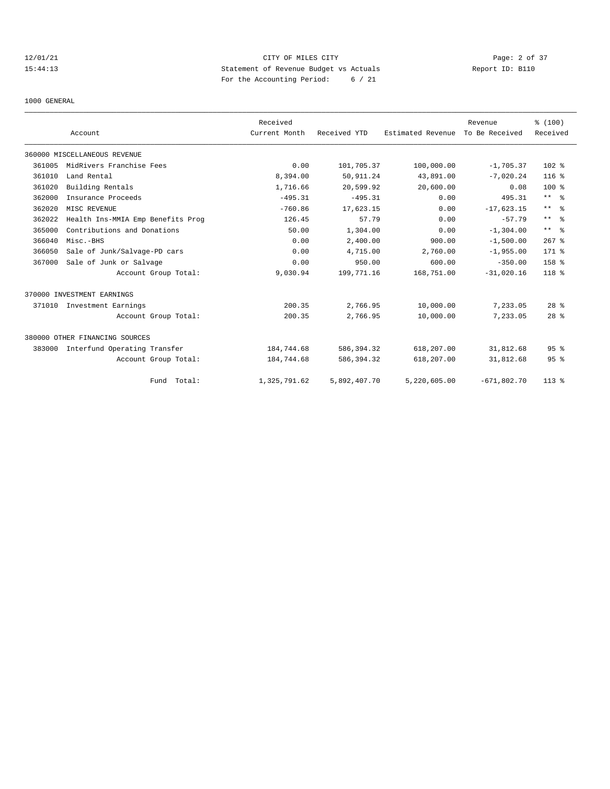# 12/01/21 CITY OF MILES CITY Page: 2 of 37 15:44:13 Statement of Revenue Budget vs Actuals Report ID: B110 For the Accounting Period: 6 / 21

1000 GENERAL

|        |                                   | Received      |              |                   | Revenue        | % (100)          |
|--------|-----------------------------------|---------------|--------------|-------------------|----------------|------------------|
|        | Account                           | Current Month | Received YTD | Estimated Revenue | To Be Received | Received         |
|        | 360000 MISCELLANEOUS REVENUE      |               |              |                   |                |                  |
| 361005 | MidRivers Franchise Fees          | 0.00          | 101,705.37   | 100,000.00        | $-1,705.37$    | 102 %            |
| 361010 | Land Rental                       | 8,394.00      | 50, 911.24   | 43,891.00         | $-7,020.24$    | $116$ %          |
| 361020 | Building Rentals                  | 1,716.66      | 20,599.92    | 20,600.00         | 0.08           | 100 %            |
| 362000 | Insurance Proceeds                | $-495.31$     | $-495.31$    | 0.00              | 495.31         | $***$ $ -$       |
| 362020 | MISC REVENUE                      | $-760.86$     | 17,623.15    | 0.00              | $-17,623.15$   | $***$ $ -$       |
| 362022 | Health Ins-MMIA Emp Benefits Prog | 126.45        | 57.79        | 0.00              | $-57.79$       | $***$ $ -$       |
| 365000 | Contributions and Donations       | 50.00         | 1,304.00     | 0.00              | $-1, 304.00$   | $***$ $%$        |
| 366040 | Misc.-BHS                         | 0.00          | 2,400.00     | 900.00            | $-1,500.00$    | $267$ $%$        |
| 366050 | Sale of Junk/Salvage-PD cars      | 0.00          | 4,715.00     | 2,760.00          | $-1,955.00$    | 171 %            |
| 367000 | Sale of Junk or Salvage           | 0.00          | 950.00       | 600.00            | $-350.00$      | 158 %            |
|        | Account Group Total:              | 9,030.94      | 199,771.16   | 168,751.00        | $-31,020.16$   | 118 <sup>8</sup> |
|        | 370000 INVESTMENT EARNINGS        |               |              |                   |                |                  |
| 371010 | Investment Earnings               | 200.35        | 2,766.95     | 10,000.00         | 7,233.05       | $28$ $%$         |
|        | Account Group Total:              | 200.35        | 2,766.95     | 10,000.00         | 7,233.05       | 28 <sup>8</sup>  |
|        | 380000 OTHER FINANCING SOURCES    |               |              |                   |                |                  |
| 383000 | Interfund Operating Transfer      | 184,744.68    | 586,394.32   | 618,207.00        | 31,812.68      | 95 <sup>8</sup>  |
|        | Account Group Total:              | 184,744.68    | 586,394.32   | 618,207.00        | 31,812.68      | 95 <sup>8</sup>  |
|        | Fund Total:                       | 1,325,791.62  | 5,892,407.70 | 5,220,605.00      | $-671,802.70$  | $113*$           |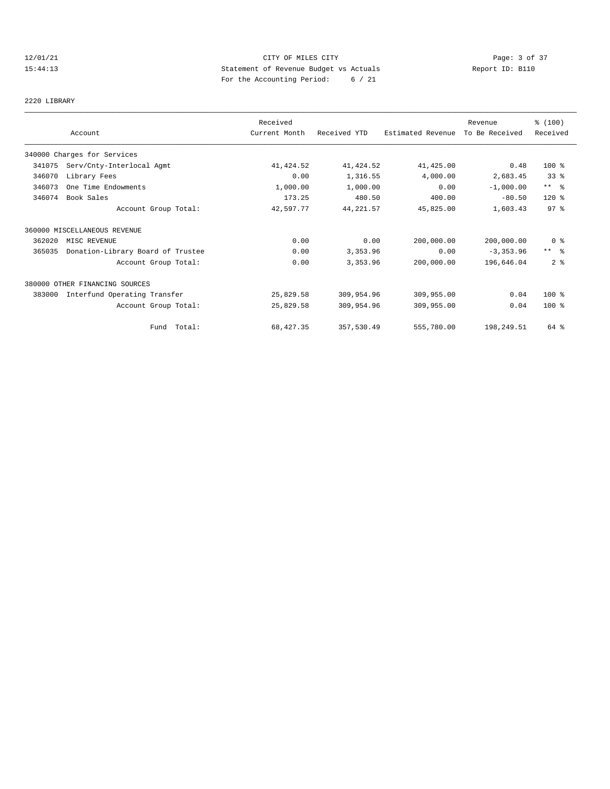# 12/01/21 CITY OF MILES CITY Page: 3 of 37 15:44:13 Statement of Revenue Budget vs Actuals Report ID: B110 For the Accounting Period: 6 / 21

### 2220 LIBRARY

|        | Account                           | Received<br>Current Month | Received YTD | Estimated Revenue | Revenue<br>To Be Received | % (100)<br>Received |
|--------|-----------------------------------|---------------------------|--------------|-------------------|---------------------------|---------------------|
|        | 340000 Charges for Services       |                           |              |                   |                           |                     |
| 341075 | Serv/Cnty-Interlocal Agmt         | 41, 424.52                | 41,424.52    | 41,425.00         | 0.48                      | 100 %               |
| 346070 | Library Fees                      | 0.00                      | 1,316.55     | 4,000.00          | 2,683.45                  | $33*$               |
| 346073 | One Time Endowments               | 1,000.00                  | 1,000.00     | 0.00              | $-1,000.00$               | $***$ $-$           |
| 346074 | Book Sales                        | 173.25                    | 480.50       | 400.00            | $-80.50$                  | $120*$              |
|        | Account Group Total:              | 42,597.77                 | 44,221.57    | 45,825.00         | 1,603.43                  | 97 <sub>8</sub>     |
|        | 360000 MISCELLANEOUS REVENUE      |                           |              |                   |                           |                     |
| 362020 | MISC REVENUE                      | 0.00                      | 0.00         | 200,000.00        | 200,000.00                | 0 %                 |
| 365035 | Donation-Library Board of Trustee | 0.00                      | 3,353.96     | 0.00              | $-3, 353.96$              | $***$ $ -$          |
|        | Account Group Total:              | 0.00                      | 3,353.96     | 200,000.00        | 196,646.04                | 2 <sub>8</sub>      |
|        | 380000 OTHER FINANCING SOURCES    |                           |              |                   |                           |                     |
| 383000 | Interfund Operating Transfer      | 25,829.58                 | 309,954.96   | 309,955.00        | 0.04                      | $100*$              |
|        | Account Group Total:              | 25,829.58                 | 309,954.96   | 309,955.00        | 0.04                      | $100*$              |
|        | Fund Total:                       | 68, 427.35                | 357,530.49   | 555,780.00        | 198,249.51                | 64 %                |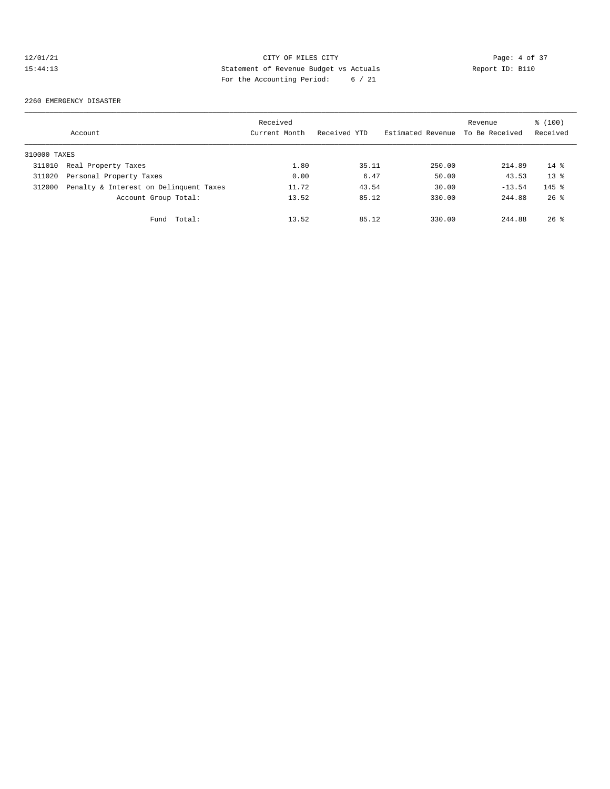# 12/01/21 CITY OF MILES CITY Page: 4 of 37<br>15:44:13 Statement of Revenue Budget vs Actuals Report ID: B110<br>2011/11 Page: 4 of 37 15:44:13 Statement of Revenue Budget vs Actuals Report ID: B110 For the Accounting Period: 6 / 21

#### 2260 EMERGENCY DISASTER

|              | Account                                | Received<br>Current Month | Received YTD | Estimated Revenue | Revenue<br>To Be Received | % (100)<br>Received |
|--------------|----------------------------------------|---------------------------|--------------|-------------------|---------------------------|---------------------|
| 310000 TAXES |                                        |                           |              |                   |                           |                     |
| 311010       | Real Property Taxes                    | 1.80                      | 35.11        | 250.00            | 214.89                    | $14*$               |
| 311020       | Personal Property Taxes                | 0.00                      | 6.47         | 50.00             | 43.53                     | $13*$               |
| 312000       | Penalty & Interest on Delinquent Taxes | 11.72                     | 43.54        | 30.00             | $-13.54$                  | $145$ %             |
|              | Account Group Total:                   | 13.52                     | 85.12        | 330.00            | 244.88                    | $26$ $\frac{6}{3}$  |
|              | Fund Total:                            | 13.52                     | 85.12        | 330.00            | 244.88                    | $26$ %              |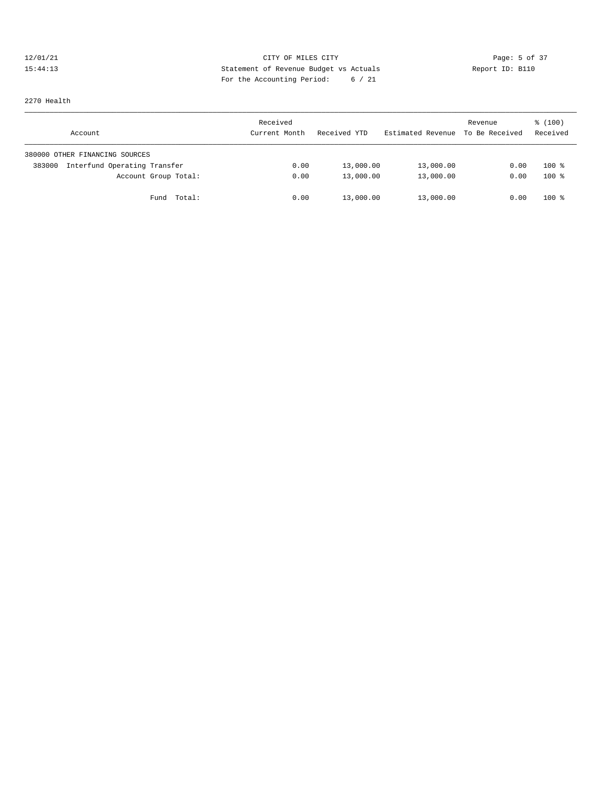### 12/01/21 CITY OF MILES CITY CHERE CITY Page: 5 of 37<br>15:44:13 Statement of Revenue Budget vs Actuals Report ID: B110 15:44:13 Statement of Revenue Budget vs Actuals Report ID: B110 For the Accounting Period: 6 / 21

2270 Health

| Account                                | Received<br>Current Month | Received YTD | Estimated Revenue To Be Received | Revenue | $\frac{100}{3}$<br>Received |
|----------------------------------------|---------------------------|--------------|----------------------------------|---------|-----------------------------|
| 380000 OTHER FINANCING SOURCES         |                           |              |                                  |         |                             |
| Interfund Operating Transfer<br>383000 | 0.00                      | 13,000.00    | 13,000.00                        | 0.00    | $100$ %                     |
| Account Group Total:                   | 0.00                      | 13,000.00    | 13,000.00                        | 0.00    | $100*$                      |
| Fund Total:                            | 0.00                      | 13,000.00    | 13,000.00                        | 0.00    | $100*$                      |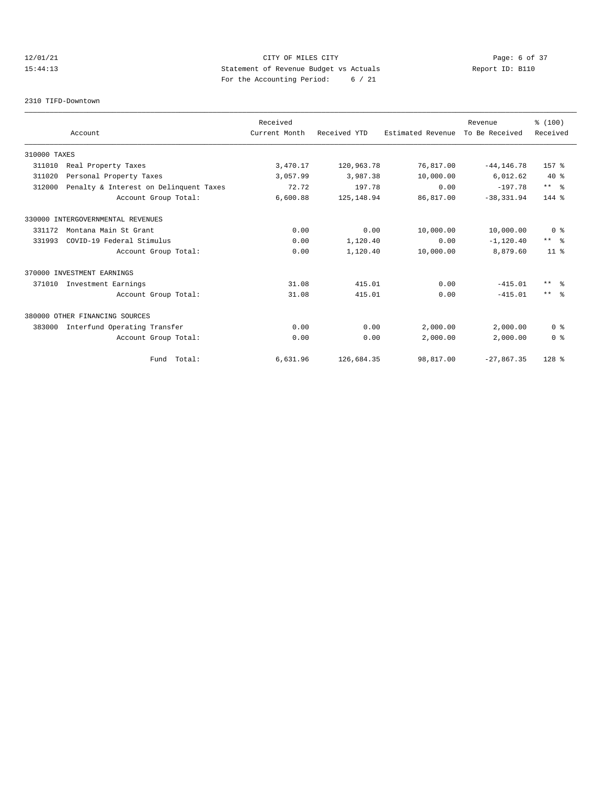# 12/01/21 CITY OF MILES CITY Page: 6 of 37 15:44:13 Statement of Revenue Budget vs Actuals Report ID: B110 For the Accounting Period: 6 / 21

#### 2310 TIFD-Downtown

|              |                                        | Received      |              |                   | Revenue        | % (100)        |
|--------------|----------------------------------------|---------------|--------------|-------------------|----------------|----------------|
|              | Account                                | Current Month | Received YTD | Estimated Revenue | To Be Received | Received       |
| 310000 TAXES |                                        |               |              |                   |                |                |
| 311010       | Real Property Taxes                    | 3,470.17      | 120,963.78   | 76,817.00         | $-44, 146.78$  | $157$ %        |
| 311020       | Personal Property Taxes                | 3,057.99      | 3,987.38     | 10,000.00         | 6,012.62       | $40*$          |
| 312000       | Penalty & Interest on Delinquent Taxes | 72.72         | 197.78       | 0.00              | $-197.78$      | $***$ $%$      |
|              | Account Group Total:                   | 6,600.88      | 125, 148.94  | 86,817.00         | $-38, 331.94$  | $144$ $%$      |
|              | 330000 INTERGOVERNMENTAL REVENUES      |               |              |                   |                |                |
| 331172       | Montana Main St Grant                  | 0.00          | 0.00         | 10,000.00         | 10,000.00      | 0 <sup>8</sup> |
| 331993       | COVID-19 Federal Stimulus              | 0.00          | 1,120.40     | 0.00              | $-1, 120.40$   | $***$ $ -$     |
|              | Account Group Total:                   | 0.00          | 1,120.40     | 10,000.00         | 8,879.60       | $11*$          |
|              | 370000 INVESTMENT EARNINGS             |               |              |                   |                |                |
| 371010       | Investment Earnings                    | 31.08         | 415.01       | 0.00              | $-415.01$      | $***$ $ -$     |
|              | Account Group Total:                   | 31.08         | 415.01       | 0.00              | $-415.01$      | $***$ $ -$     |
|              | 380000 OTHER FINANCING SOURCES         |               |              |                   |                |                |
| 383000       | Interfund Operating Transfer           | 0.00          | 0.00         | 2,000.00          | 2,000.00       | 0 <sup>8</sup> |
|              | Account Group Total:                   | 0.00          | 0.00         | 2,000.00          | 2,000.00       | 0 <sup>8</sup> |
|              | Fund Total:                            | 6,631.96      | 126,684.35   | 98,817.00         | $-27,867.35$   | 128 %          |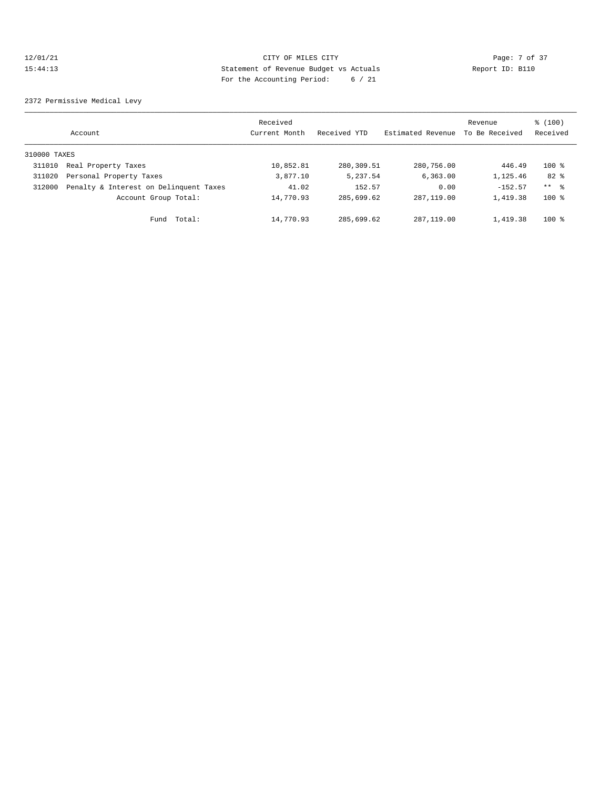### 12/01/21 CITY OF MILES CITY Page: 7 of 37 15:44:13 Statement of Revenue Budget vs Actuals Report ID: B110 For the Accounting Period: 6 / 21

2372 Permissive Medical Levy

|              | Account                                | Received<br>Current Month | Received YTD | Estimated Revenue | Revenue<br>To Be Received | $\frac{100}{3}$<br>Received |
|--------------|----------------------------------------|---------------------------|--------------|-------------------|---------------------------|-----------------------------|
| 310000 TAXES |                                        |                           |              |                   |                           |                             |
| 311010       | Real Property Taxes                    | 10,852.81                 | 280,309.51   | 280,756.00        | 446.49                    | $100*$                      |
| 311020       | Personal Property Taxes                | 3,877.10                  | 5,237.54     | 6, 363, 00        | 1,125.46                  | 82 %                        |
| 312000       | Penalty & Interest on Delinquent Taxes | 41.02                     | 152.57       | 0.00              | $-152.57$                 | $***$ $\frac{6}{3}$         |
|              | Account Group Total:                   | 14,770.93                 | 285,699.62   | 287, 119, 00      | 1,419.38                  | $100$ %                     |
|              | Total:<br>Fund                         | 14,770.93                 | 285,699.62   | 287, 119, 00      | 1,419.38                  | $100$ %                     |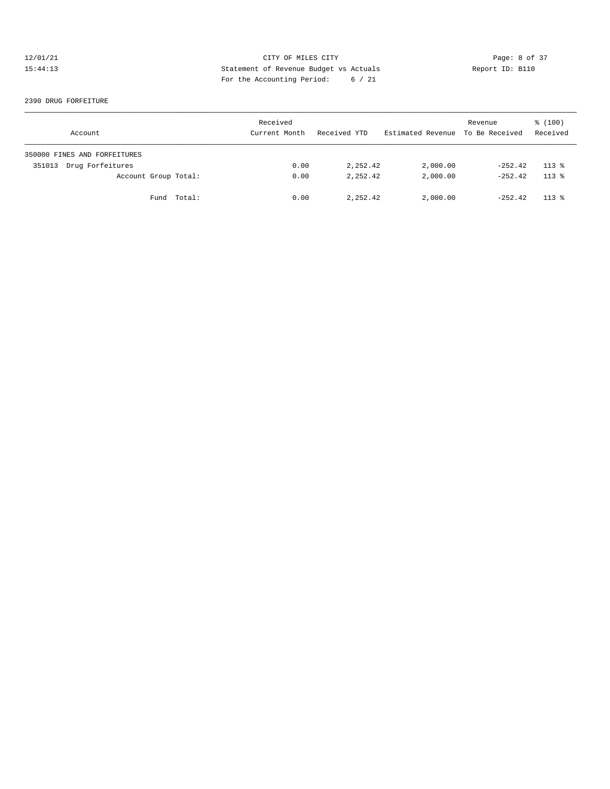### 12/01/21 CITY OF MILES CITY CONTRIBUTE CITY Page: 8 of 37<br>15:44:13 15:44:13 Statement of Revenue Budget vs Actuals Report ID: B110 15:44:13 Statement of Revenue Budget vs Actuals Report ID: B110 For the Accounting Period: 6 / 21

#### 2390 DRUG FORFEITURE

| Account                      | Received<br>Current Month | Received YTD | Estimated Revenue To Be Received | Revenue   | \$(100)<br>Received |
|------------------------------|---------------------------|--------------|----------------------------------|-----------|---------------------|
| 350000 FINES AND FORFEITURES |                           |              |                                  |           |                     |
| Drug Forfeitures<br>351013   | 0.00                      | 2,252.42     | 2,000.00                         | $-252.42$ | $113*$              |
| Account Group Total:         | 0.00                      | 2,252.42     | 2,000.00                         | $-252.42$ | $113*$              |
| Fund Total:                  | 0.00                      | 2,252.42     | 2,000.00                         | $-252.42$ | $113*$              |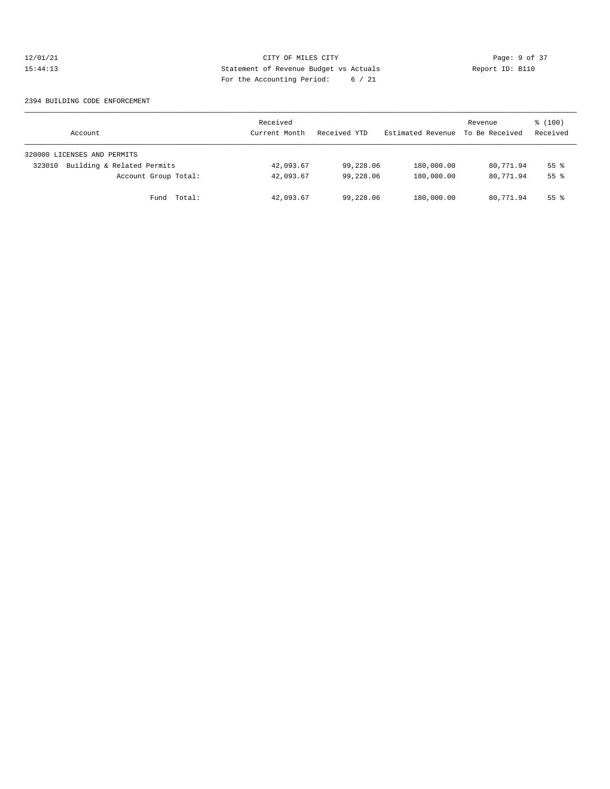# 12/01/21 CITY OF MILES CITY CONTRIBUTE CITY Page: 9 of 37<br>15:44:13 15:44:13 Statement of Revenue Budget vs Actuals Report ID: B110 15:44:13 Statement of Revenue Budget vs Actuals Report ID: B110 For the Accounting Period: 6 / 21

#### 2394 BUILDING CODE ENFORCEMENT

| Account                              | Received<br>Current Month | Received YTD | Estimated Revenue | Revenue<br>To Be Received | \$(100)<br>Received |
|--------------------------------------|---------------------------|--------------|-------------------|---------------------------|---------------------|
| 320000 LICENSES AND PERMITS          |                           |              |                   |                           |                     |
| Building & Related Permits<br>323010 | 42,093.67                 | 99,228.06    | 180,000.00        | 80,771.94                 | 55 <sup>8</sup>     |
| Account Group Total:                 | 42,093.67                 | 99,228,06    | 180,000.00        | 80,771.94                 | 55 <sup>8</sup>     |
| Total:<br>Fund                       | 42,093.67                 | 99,228.06    | 180,000.00        | 80,771.94                 | 55 %                |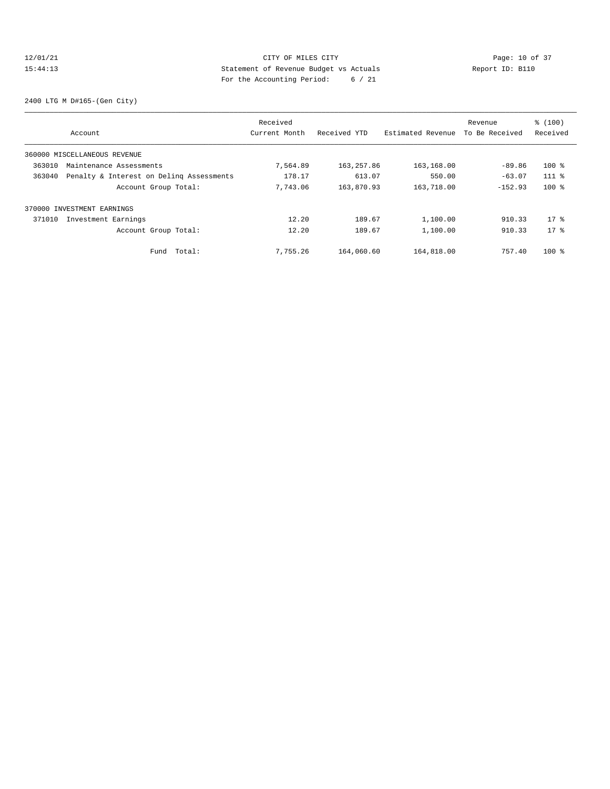### 12/01/21 Page: 10 of 37 15:44:13 Statement of Revenue Budget vs Actuals Report ID: B110 For the Accounting Period: 6 / 21

2400 LTG M D#165-(Gen City)

|        |                                          | Received      |              |                   | Revenue        | % (100)  |
|--------|------------------------------------------|---------------|--------------|-------------------|----------------|----------|
|        | Account                                  | Current Month | Received YTD | Estimated Revenue | To Be Received | Received |
|        | 360000 MISCELLANEOUS REVENUE             |               |              |                   |                |          |
| 363010 | Maintenance Assessments                  | 7,564.89      | 163, 257.86  | 163,168.00        | $-89.86$       | $100*$   |
| 363040 | Penalty & Interest on Deling Assessments | 178.17        | 613.07       | 550.00            | $-63.07$       | $111*$   |
|        | Account Group Total:                     | 7,743.06      | 163,870.93   | 163,718.00        | $-152.93$      | $100$ %  |
|        | 370000 INVESTMENT EARNINGS               |               |              |                   |                |          |
| 371010 | Investment Earnings                      | 12.20         | 189.67       | 1,100.00          | 910.33         | $17*$    |
|        | Account Group Total:                     | 12.20         | 189.67       | 1,100.00          | 910.33         | $17*$    |
|        | Total:<br>Fund                           | 7.755.26      | 164,060.60   | 164,818.00        | 757.40         | $100$ %  |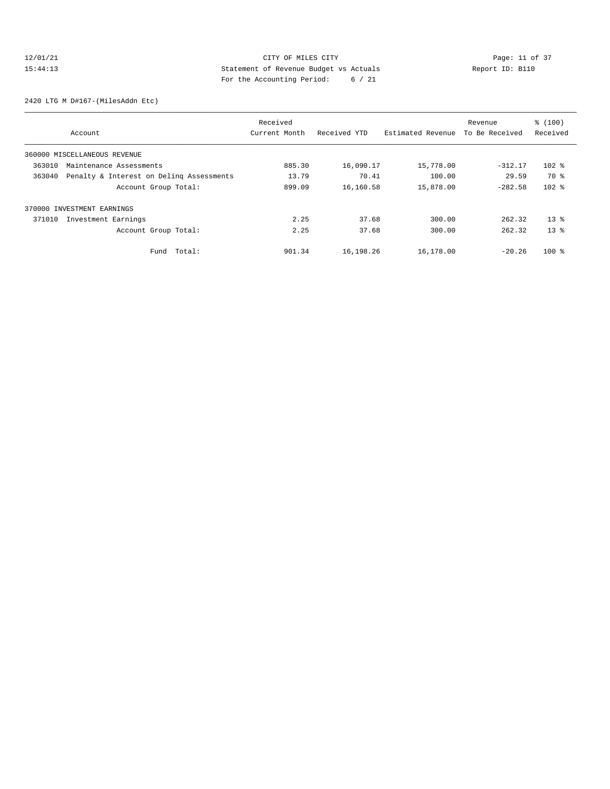# 12/01/21 Page: 11 of 37 15:44:13 Statement of Revenue Budget vs Actuals Report ID: B110 For the Accounting Period: 6 / 21

2420 LTG M D#167-(MilesAddn Etc)

|                                                    | Received      |              |                   | Revenue        | % (100)  |
|----------------------------------------------------|---------------|--------------|-------------------|----------------|----------|
| Account                                            | Current Month | Received YTD | Estimated Revenue | To Be Received | Received |
| 360000 MISCELLANEOUS REVENUE                       |               |              |                   |                |          |
| 363010<br>Maintenance Assessments                  | 885.30        | 16,090.17    | 15,778.00         | $-312.17$      | $102$ %  |
| 363040<br>Penalty & Interest on Deling Assessments | 13.79         | 70.41        | 100.00            | 29.59          | 70 %     |
| Account Group Total:                               | 899.09        | 16,160.58    | 15,878.00         | $-282.58$      | $102$ %  |
| 370000 INVESTMENT EARNINGS                         |               |              |                   |                |          |
| 371010<br>Investment Earnings                      | 2.25          | 37.68        | 300.00            | 262.32         | $13*$    |
| Account Group Total:                               | 2.25          | 37.68        | 300.00            | 262.32         | $13*$    |
| Total:<br>Fund                                     | 901.34        | 16,198.26    | 16,178.00         | $-20.26$       | $100$ %  |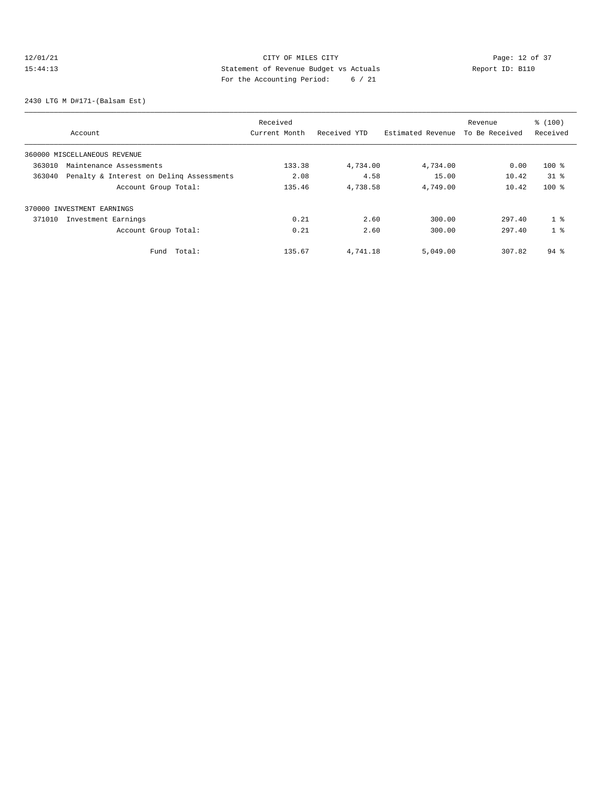# 12/01/21 Page: 12 of 37 15:44:13 Statement of Revenue Budget vs Actuals Report ID: B110 For the Accounting Period: 6 / 21

2430 LTG M D#171-(Balsam Est)

|                                                    | Received      |              |                   | Revenue        | % (100)            |
|----------------------------------------------------|---------------|--------------|-------------------|----------------|--------------------|
| Account                                            | Current Month | Received YTD | Estimated Revenue | To Be Received | Received           |
| 360000 MISCELLANEOUS REVENUE                       |               |              |                   |                |                    |
| 363010<br>Maintenance Assessments                  | 133.38        | 4,734.00     | 4,734.00          | 0.00           | $100$ %            |
| 363040<br>Penalty & Interest on Deling Assessments | 2.08          | 4.58         | 15.00             | 10.42          | $31$ $%$           |
| Account Group Total:                               | 135.46        | 4,738.58     | 4,749.00          | 10.42          | $100*$             |
| 370000 INVESTMENT EARNINGS                         |               |              |                   |                |                    |
| 371010<br>Investment Earnings                      | 0.21          | 2.60         | 300.00            | 297.40         | 1 <sup>8</sup>     |
| Account Group Total:                               | 0.21          | 2.60         | 300.00            | 297.40         | 1 <sup>8</sup>     |
| Total:<br>Fund                                     | 135.67        | 4,741.18     | 5,049.00          | 307.82         | $94$ $\frac{6}{3}$ |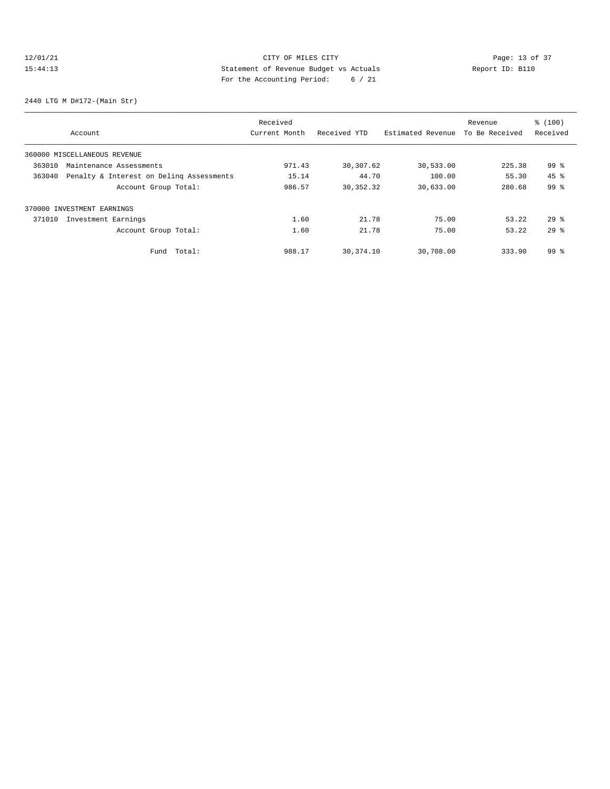# 12/01/21 Page: 13 of 37 15:44:13 Statement of Revenue Budget vs Actuals Report ID: B110 For the Accounting Period: 6 / 21

2440 LTG M D#172-(Main Str)

| Account                                            | Received<br>Current Month | Received YTD | Estimated Revenue | Revenue<br>To Be Received | % (100)<br>Received |
|----------------------------------------------------|---------------------------|--------------|-------------------|---------------------------|---------------------|
| 360000 MISCELLANEOUS REVENUE                       |                           |              |                   |                           |                     |
| 363010<br>Maintenance Assessments                  | 971.43                    | 30,307.62    | 30,533.00         | 225.38                    | 99 %                |
| 363040<br>Penalty & Interest on Deling Assessments | 15.14                     | 44.70        | 100.00            | 55.30                     | $45$ $%$            |
| Account Group Total:                               | 986.57                    | 30, 352.32   | 30,633.00         | 280.68                    | 99 %                |
| 370000 INVESTMENT EARNINGS                         |                           |              |                   |                           |                     |
| Investment Earnings<br>371010                      | 1.60                      | 21.78        | 75.00             | 53.22                     | $29*$               |
| Account Group Total:                               | 1.60                      | 21.78        | 75.00             | 53.22                     | $29*$               |
| Total:<br>Fund                                     | 988.17                    | 30,374.10    | 30,708.00         | 333.90                    | $99*$               |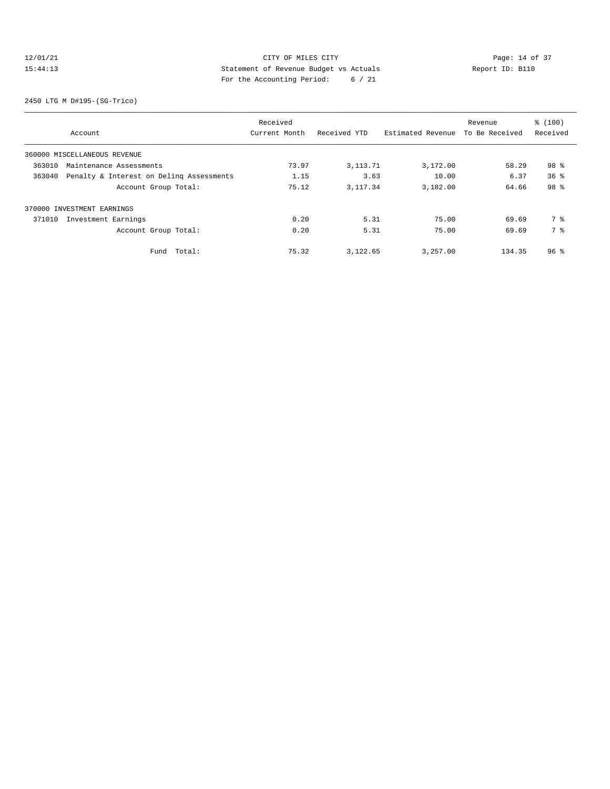# 12/01/21 Page: 14 of 37 15:44:13 Statement of Revenue Budget vs Actuals Report ID: B110 For the Accounting Period: 6 / 21

2450 LTG M D#195-(SG-Trico)

| Account                                            | Received<br>Current Month | Received YTD | Estimated Revenue | Revenue<br>To Be Received | % (100)<br>Received |
|----------------------------------------------------|---------------------------|--------------|-------------------|---------------------------|---------------------|
| 360000 MISCELLANEOUS REVENUE                       |                           |              |                   |                           |                     |
| 363010<br>Maintenance Assessments                  | 73.97                     | 3, 113. 71   | 3,172.00          | 58.29                     | 98 %                |
| 363040<br>Penalty & Interest on Deling Assessments | 1.15                      | 3.63         | 10.00             | 6.37                      | 36 <sup>8</sup>     |
| Account Group Total:                               | 75.12                     | 3, 117, 34   | 3,182.00          | 64.66                     | 98 %                |
| 370000 INVESTMENT EARNINGS                         |                           |              |                   |                           |                     |
| Investment Earnings<br>371010                      | 0.20                      | 5.31         | 75.00             | 69.69                     | 7 %                 |
| Account Group Total:                               | 0.20                      | 5.31         | 75.00             | 69.69                     | 7 %                 |
| Total:<br>Fund                                     | 75.32                     | 3,122.65     | 3,257.00          | 134.35                    | 96 <sup>8</sup>     |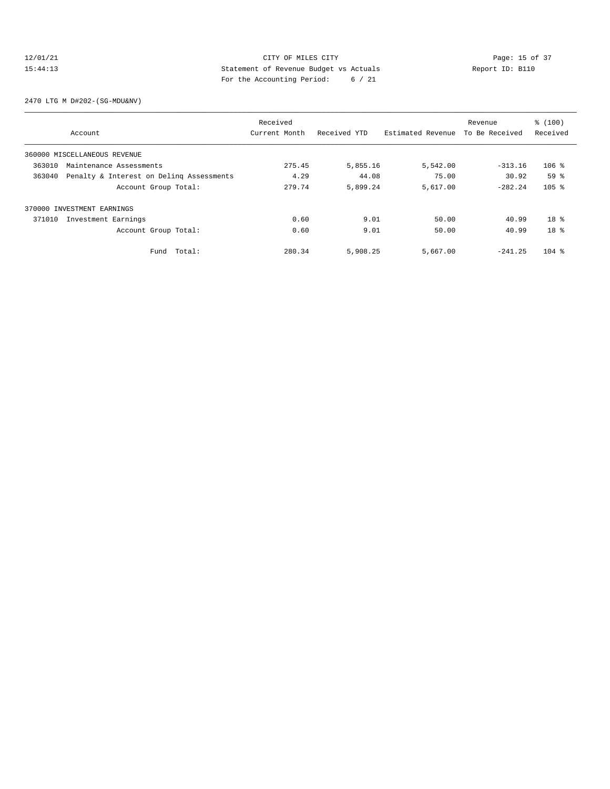### 12/01/21 CITY OF MILES CITY<br>15:44:13 21 Statement of Revenue Budget vs Actuals<br>21.13 21.13 21.13 21.13 21.13 21.13 21.13 21.13 21.13 21.13 21.13 21.13 21.13 21.13 21.13 21.13 21.13 21.13 21.13 21.13 21.13 21.13 21.13 21.13 15:44:13 Statement of Revenue Budget vs Actuals Report ID: B110 For the Accounting Period: 6 / 21

2470 LTG M D#202-(SG-MDU&NV)

|                                                    | Received      |              |                   | Revenue        | % (100)         |
|----------------------------------------------------|---------------|--------------|-------------------|----------------|-----------------|
| Account                                            | Current Month | Received YTD | Estimated Revenue | To Be Received | Received        |
| 360000 MISCELLANEOUS REVENUE                       |               |              |                   |                |                 |
| 363010<br>Maintenance Assessments                  | 275.45        | 5,855.16     | 5,542.00          | $-313.16$      | $106$ %         |
| 363040<br>Penalty & Interest on Deling Assessments | 4.29          | 44.08        | 75.00             | 30.92          | 59 <sup>8</sup> |
| Account Group Total:                               | 279.74        | 5,899.24     | 5,617.00          | $-282.24$      | $105$ %         |
| 370000 INVESTMENT EARNINGS                         |               |              |                   |                |                 |
| 371010<br>Investment Earnings                      | 0.60          | 9.01         | 50.00             | 40.99          | $18*$           |
| Account Group Total:                               | 0.60          | 9.01         | 50.00             | 40.99          | $18*$           |
| Total:<br>Fund                                     | 280.34        | 5,908.25     | 5,667.00          | $-241.25$      | $104$ %         |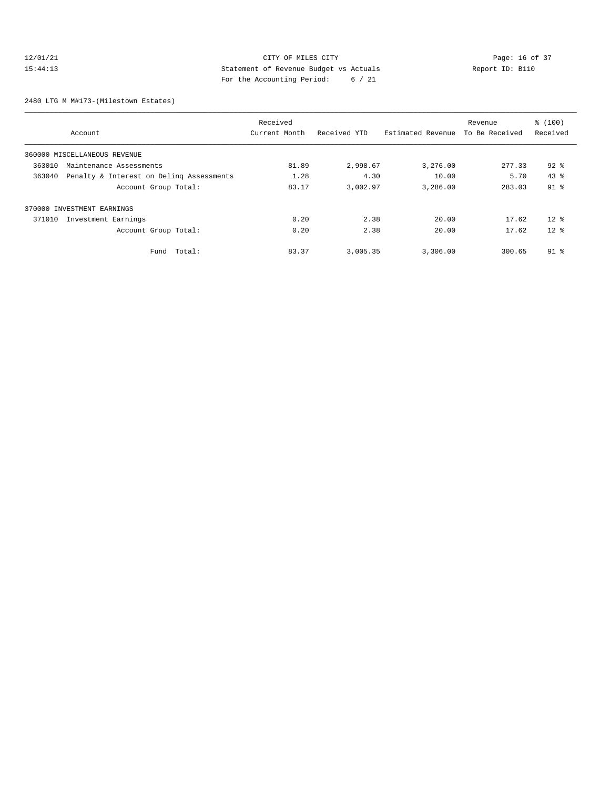### 12/01/21 CITY OF MILES CITY<br>15:44:13 212-14:13 Statement of Revenue Budget vs Actuals<br>21. Actual 21. Actual 21. Actual 21. Actual 21. Actual 21. Actual 21. Actual 21. Actual 21. Actual 21. Actual 21. Actual 21. Actual 21. 15:44:13 Statement of Revenue Budget vs Actuals Report ID: B110 For the Accounting Period: 6 / 21

2480 LTG M M#173-(Milestown Estates)

|                                                    | Received      |              |                   | Revenue        | \$(100)  |
|----------------------------------------------------|---------------|--------------|-------------------|----------------|----------|
| Account                                            | Current Month | Received YTD | Estimated Revenue | To Be Received | Received |
| 360000 MISCELLANEOUS REVENUE                       |               |              |                   |                |          |
| 363010<br>Maintenance Assessments                  | 81.89         | 2,998.67     | 3,276.00          | 277.33         | $92$ $%$ |
| 363040<br>Penalty & Interest on Deling Assessments | 1.28          | 4.30         | 10.00             | 5.70           | 43.8     |
| Account Group Total:                               | 83.17         | 3,002.97     | 3,286.00          | 283.03         | $91$ %   |
| 370000 INVESTMENT EARNINGS                         |               |              |                   |                |          |
| 371010<br>Investment Earnings                      | 0.20          | 2.38         | 20.00             | 17.62          | $12*$    |
| Account Group Total:                               | 0.20          | 2.38         | 20.00             | 17.62          | $12*$    |
| Fund Total:                                        | 83.37         | 3,005.35     | 3,306.00          | 300.65         | $91$ %   |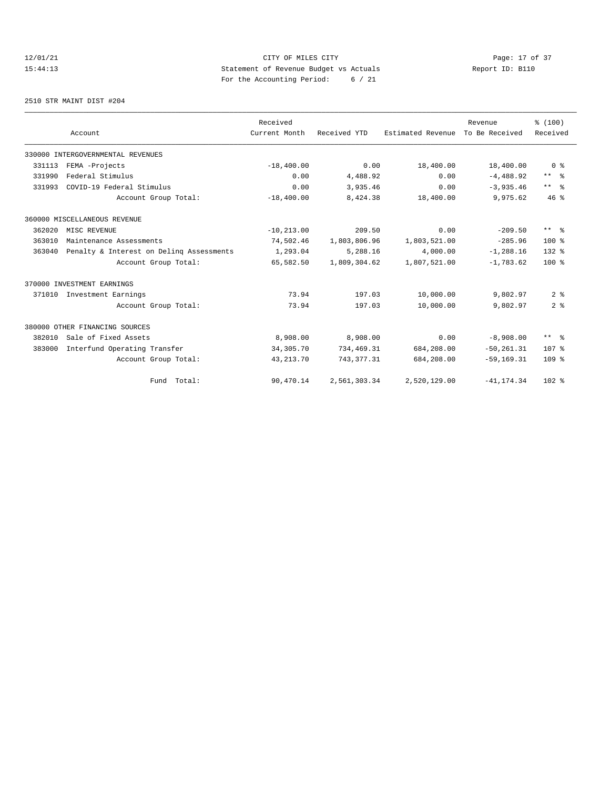# 12/01/21 CITY OF MILES CITY<br>15:44:13 212-17 Dege: 17 of 37<br>15:44:13 212-11 212 212 212 212 213 15:44:13 Statement of Revenue Budget vs Actuals Report ID: B110 For the Accounting Period: 6 / 21

#### 2510 STR MAINT DIST #204

|        |                                          | Received      |              |                   | Revenue        | % (100)                 |
|--------|------------------------------------------|---------------|--------------|-------------------|----------------|-------------------------|
|        | Account                                  | Current Month | Received YTD | Estimated Revenue | To Be Received | Received                |
|        | 330000 INTERGOVERNMENTAL REVENUES        |               |              |                   |                |                         |
| 331113 | FEMA -Projects                           | $-18,400.00$  | 0.00         | 18,400.00         | 18,400.00      | 0 <sup>8</sup>          |
| 331990 | Federal Stimulus                         | 0.00          | 4,488.92     | 0.00              | $-4,488.92$    | $***$ $-$               |
| 331993 | COVID-19 Federal Stimulus                | 0.00          | 3,935.46     | 0.00              | $-3,935.46$    | $***$ $=$ $\frac{6}{5}$ |
|        | Account Group Total:                     | $-18,400.00$  | 8,424.38     | 18,400.00         | 9,975.62       | 46%                     |
|        | 360000 MISCELLANEOUS REVENUE             |               |              |                   |                |                         |
| 362020 | MISC REVENUE                             | $-10, 213.00$ | 209.50       | 0.00              | $-209.50$      | $***$ $-$               |
| 363010 | Maintenance Assessments                  | 74,502.46     | 1,803,806.96 | 1,803,521.00      | $-285.96$      | $100*$                  |
| 363040 | Penalty & Interest on Deling Assessments | 1,293.04      | 5,288.16     | 4,000.00          | $-1, 288.16$   | $132*$                  |
|        | Account Group Total:                     | 65,582.50     | 1,809,304.62 | 1,807,521.00      | $-1,783.62$    | $100*$                  |
|        | 370000 INVESTMENT EARNINGS               |               |              |                   |                |                         |
| 371010 | Investment Earnings                      | 73.94         | 197.03       | 10,000.00         | 9,802.97       | 2 <sup>8</sup>          |
|        | Account Group Total:                     | 73.94         | 197.03       | 10,000.00         | 9,802.97       | 2 <sup>8</sup>          |
|        | 380000 OTHER FINANCING SOURCES           |               |              |                   |                |                         |
| 382010 | Sale of Fixed Assets                     | 8,908.00      | 8,908.00     | 0.00              | $-8,908.00$    | $***$ $ -$              |
| 383000 | Interfund Operating Transfer             | 34,305.70     | 734,469.31   | 684,208.00        | $-50, 261.31$  | 107 <sub>8</sub>        |
|        | Account Group Total:                     | 43, 213. 70   | 743, 377.31  | 684,208.00        | $-59, 169.31$  | 109 <sub>8</sub>        |
|        | Fund Total:                              | 90,470.14     | 2,561,303.34 | 2,520,129.00      | $-41, 174.34$  | $102*$                  |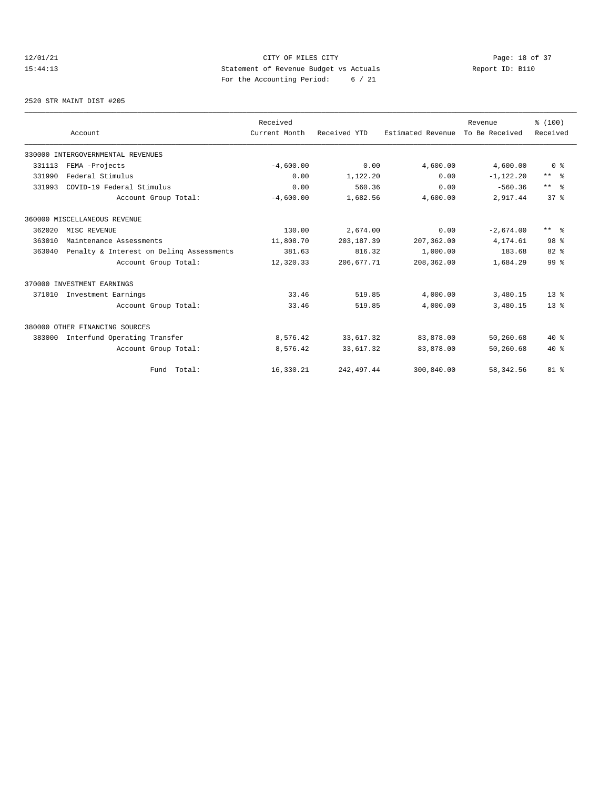# 12/01/21 CITY OF MILES CITY<br>15:44:13 212-13<br>15:44:13 212-11<br>15:44:13 15:44:13 Statement of Revenue Budget vs Actuals Report ID: B110 For the Accounting Period: 6 / 21

#### 2520 STR MAINT DIST #205

|        |                                          | Received      |              |                   | Revenue        | % (100)         |
|--------|------------------------------------------|---------------|--------------|-------------------|----------------|-----------------|
|        | Account                                  | Current Month | Received YTD | Estimated Revenue | To Be Received | Received        |
|        | 330000 INTERGOVERNMENTAL REVENUES        |               |              |                   |                |                 |
| 331113 | FEMA -Projects                           | $-4,600.00$   | 0.00         | 4,600.00          | 4,600.00       | 0 <sup>8</sup>  |
| 331990 | Federal Stimulus                         | 0.00          | 1,122.20     | 0.00              | $-1,122.20$    | $***$ $ -$      |
| 331993 | COVID-19 Federal Stimulus                | 0.00          | 560.36       | 0.00              | $-560.36$      | $***$ $=$       |
|        | Account Group Total:                     | $-4,600.00$   | 1,682.56     | 4,600.00          | 2,917.44       | 37 <sup>8</sup> |
|        | 360000 MISCELLANEOUS REVENUE             |               |              |                   |                |                 |
| 362020 | MISC REVENUE                             | 130.00        | 2,674.00     | 0.00              | $-2,674.00$    | $***$ $ -$      |
| 363010 | Maintenance Assessments                  | 11,808.70     | 203, 187.39  | 207,362.00        | 4,174.61       | 98 <sup>8</sup> |
| 363040 | Penalty & Interest on Deling Assessments | 381.63        | 816.32       | 1,000.00          | 183.68         | 82 %            |
|        | Account Group Total:                     | 12,320.33     | 206, 677.71  | 208,362.00        | 1,684.29       | 99 <sup>8</sup> |
|        | 370000 INVESTMENT EARNINGS               |               |              |                   |                |                 |
| 371010 | Investment Earnings                      | 33.46         | 519.85       | 4,000.00          | 3,480.15       | $13*$           |
|        | Account Group Total:                     | 33.46         | 519.85       | 4,000.00          | 3,480.15       | 13 <sup>8</sup> |
|        | 380000 OTHER FINANCING SOURCES           |               |              |                   |                |                 |
| 383000 | Interfund Operating Transfer             | 8,576.42      | 33,617.32    | 83,878.00         | 50,260.68      | $40*$           |
|        | Account Group Total:                     | 8,576.42      | 33,617.32    | 83,878.00         | 50,260.68      | $40*$           |
|        | Fund Total:                              | 16,330.21     | 242, 497.44  | 300,840.00        | 58, 342.56     | $81 - 8$        |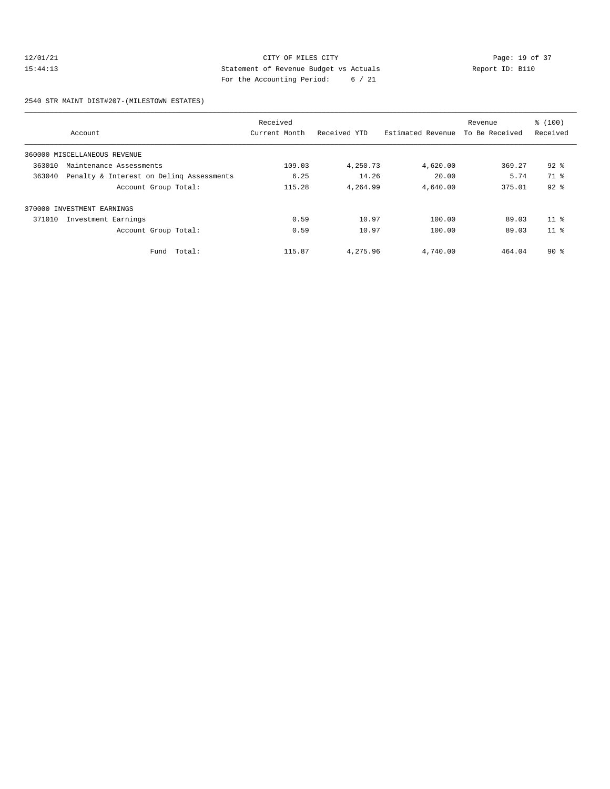### 12/01/21 Page: 19 of 37 15:44:13 Statement of Revenue Budget vs Actuals Report ID: B110 For the Accounting Period: 6 / 21

2540 STR MAINT DIST#207-(MILESTOWN ESTATES)

| Account                                            | Received<br>Current Month | Received YTD | Estimated Revenue | Revenue<br>To Be Received | \$(100)<br>Received |
|----------------------------------------------------|---------------------------|--------------|-------------------|---------------------------|---------------------|
| 360000 MISCELLANEOUS REVENUE                       |                           |              |                   |                           |                     |
| 363010<br>Maintenance Assessments                  | 109.03                    | 4,250.73     | 4,620.00          | 369.27                    | $92*$               |
| Penalty & Interest on Deling Assessments<br>363040 | 6.25                      | 14.26        | 20.00             | 5.74                      | 71.8                |
| Account Group Total:                               | 115.28                    | 4,264.99     | 4,640.00          | 375.01                    | $92$ $%$            |
| 370000 INVESTMENT EARNINGS                         |                           |              |                   |                           |                     |
| 371010<br>Investment Earnings                      | 0.59                      | 10.97        | 100.00            | 89.03                     | $11*$               |
| Account Group Total:                               | 0.59                      | 10.97        | 100.00            | 89.03                     | 11 <sup>8</sup>     |
| Fund Total:                                        | 115.87                    | 4,275.96     | 4,740.00          | 464.04                    | 90%                 |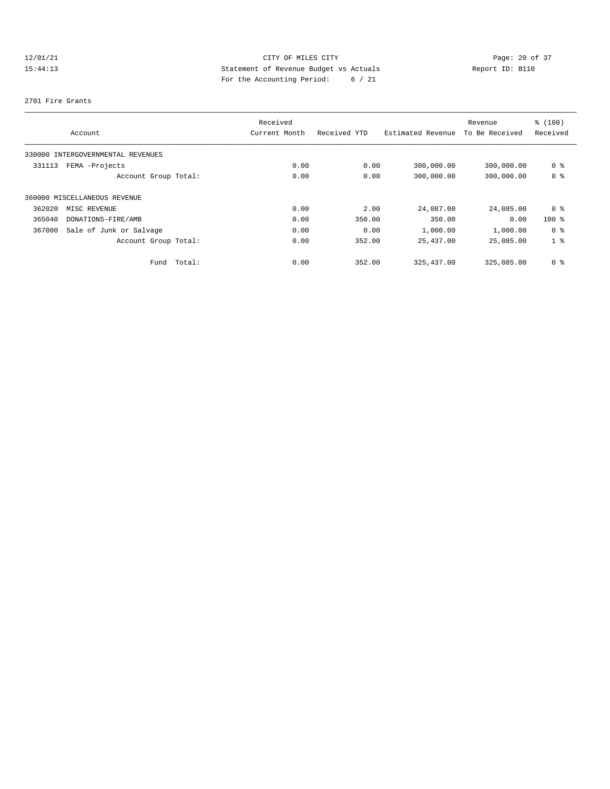# 12/01/21 Page: 20 of 37 15:44:13 Statement of Revenue Budget vs Actuals Report ID: B110 For the Accounting Period: 6 / 21

#### 2701 Fire Grants

|                                   |        | Received      |              |                   | Revenue        | % (100)        |
|-----------------------------------|--------|---------------|--------------|-------------------|----------------|----------------|
| Account                           |        | Current Month | Received YTD | Estimated Revenue | To Be Received | Received       |
| 330000 INTERGOVERNMENTAL REVENUES |        |               |              |                   |                |                |
| FEMA -Projects<br>331113          |        | 0.00          | 0.00         | 300,000.00        | 300,000.00     | 0 %            |
| Account Group Total:              |        | 0.00          | 0.00         | 300,000.00        | 300,000.00     | 0 %            |
| 360000 MISCELLANEOUS REVENUE      |        |               |              |                   |                |                |
| 362020<br>MISC REVENUE            |        | 0.00          | 2.00         | 24,087.00         | 24,085.00      | 0 %            |
| 365040<br>DONATIONS-FIRE/AMB      |        | 0.00          | 350.00       | 350.00            | 0.00           | $100$ %        |
| 367000<br>Sale of Junk or Salvage |        | 0.00          | 0.00         | 1,000.00          | 1,000.00       | 0 %            |
| Account Group Total:              |        | 0.00          | 352.00       | 25,437.00         | 25,085.00      | 1 <sup>8</sup> |
| Fund                              | Total: | 0.00          | 352.00       | 325, 437.00       | 325,085.00     | 0 %            |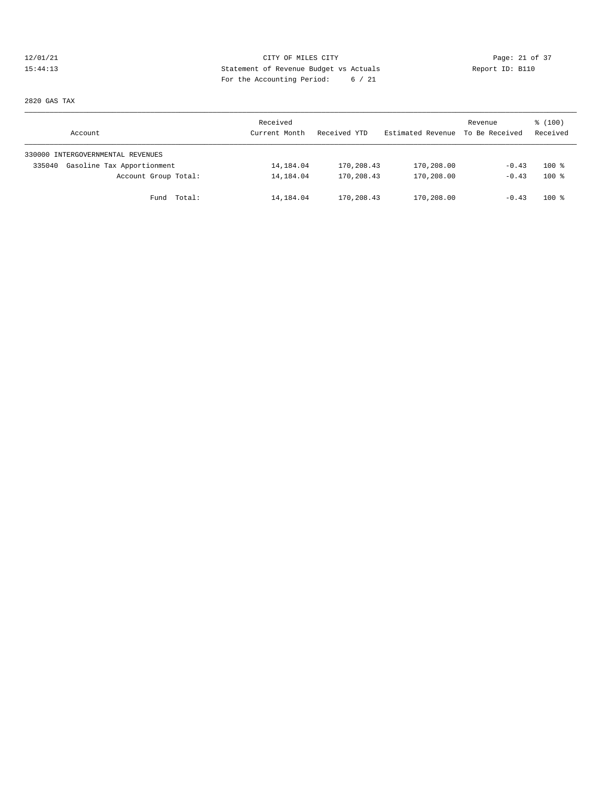# 12/01/21 Page: 21 of 37 15:44:13 Statement of Revenue Budget vs Actuals Report ID: B110 For the Accounting Period: 6 / 21

2820 GAS TAX

| Account                              | Received<br>Current Month | Received YTD | Estimated Revenue To Be Received | Revenue | % (100)<br>Received |
|--------------------------------------|---------------------------|--------------|----------------------------------|---------|---------------------|
| 330000 INTERGOVERNMENTAL REVENUES    |                           |              |                                  |         |                     |
| Gasoline Tax Apportionment<br>335040 | 14,184.04                 | 170,208.43   | 170,208.00                       | $-0.43$ | $100$ %             |
| Account Group Total:                 | 14,184.04                 | 170,208.43   | 170,208.00                       | $-0.43$ | $100*$              |
| Fund Total:                          | 14,184.04                 | 170,208.43   | 170,208.00                       | $-0.43$ | $100$ %             |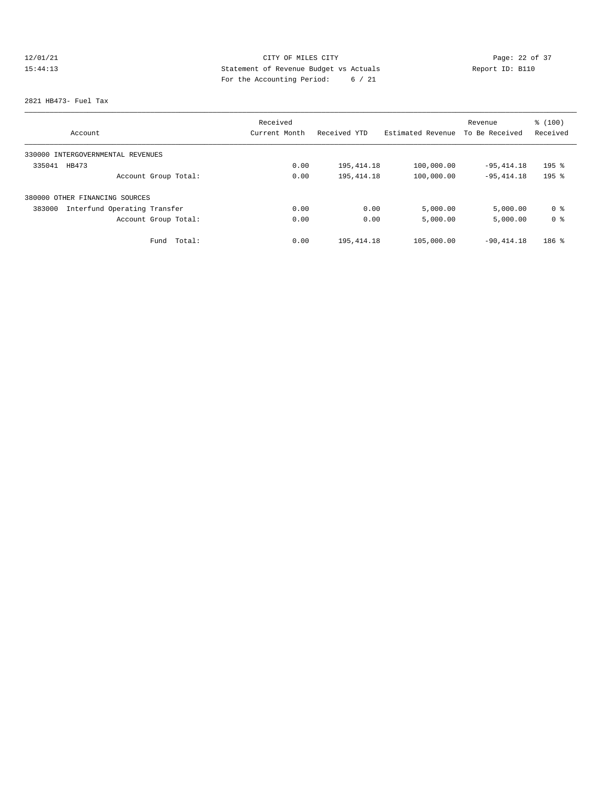# 12/01/21 Page: 22 of 37 15:44:13 Statement of Revenue Budget vs Actuals Report ID: B110 For the Accounting Period: 6 / 21

#### 2821 HB473- Fuel Tax

|                                        | Received      |              |                   | Revenue        | % (100)   |
|----------------------------------------|---------------|--------------|-------------------|----------------|-----------|
| Account                                | Current Month | Received YTD | Estimated Revenue | To Be Received | Received  |
| 330000 INTERGOVERNMENTAL REVENUES      |               |              |                   |                |           |
| HB473<br>335041                        | 0.00          | 195,414.18   | 100,000.00        | $-95,414.18$   | $195$ %   |
| Account Group Total:                   | 0.00          | 195, 414.18  | 100,000.00        | $-95, 414.18$  | $195$ $%$ |
| 380000 OTHER FINANCING SOURCES         |               |              |                   |                |           |
| 383000<br>Interfund Operating Transfer | 0.00          | 0.00         | 5,000.00          | 5,000.00       | 0 %       |
| Account Group Total:                   | 0.00          | 0.00         | 5,000.00          | 5,000.00       | 0 %       |
| Total:<br>Fund                         | 0.00          | 195, 414.18  | 105,000.00        | $-90.414.18$   | $186$ %   |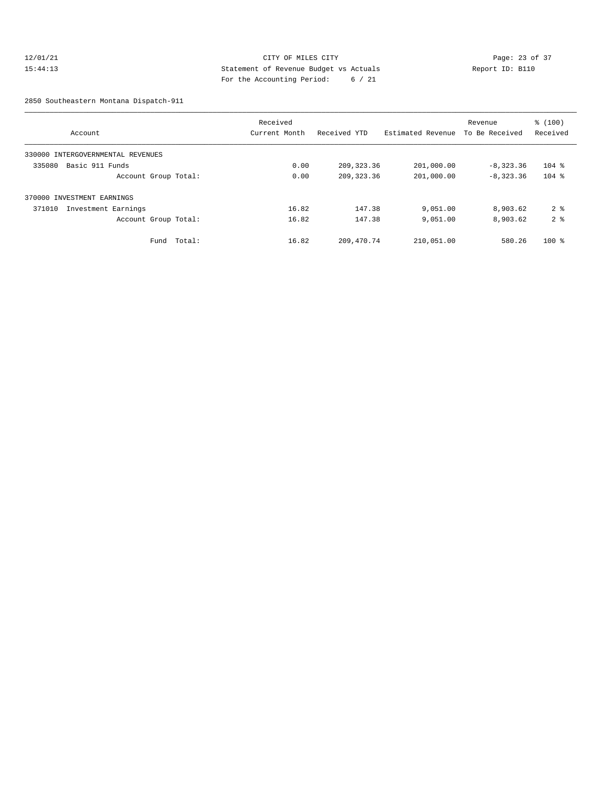### 12/01/21 Page: 23 of 37 15:44:13 Statement of Revenue Budget vs Actuals Report ID: B110 For the Accounting Period: 6 / 21

2850 Southeastern Montana Dispatch-911

|                                      |        | Received      |              |                   | Revenue        | \$(100)        |
|--------------------------------------|--------|---------------|--------------|-------------------|----------------|----------------|
| Account                              |        | Current Month | Received YTD | Estimated Revenue | To Be Received | Received       |
| 330000<br>INTERGOVERNMENTAL REVENUES |        |               |              |                   |                |                |
| Basic 911 Funds<br>335080            |        | 0.00          | 209, 323, 36 | 201,000.00        | $-8,323.36$    | $104$ %        |
| Account Group Total:                 |        | 0.00          | 209, 323.36  | 201,000.00        | $-8,323,36$    | $104$ %        |
| 370000 INVESTMENT EARNINGS           |        |               |              |                   |                |                |
| 371010<br>Investment Earnings        |        | 16.82         | 147.38       | 9,051.00          | 8,903.62       | 2 <sub>8</sub> |
| Account Group Total:                 |        | 16.82         | 147.38       | 9,051.00          | 8,903.62       | 2 <sup>8</sup> |
| Fund                                 | Total: | 16.82         | 209, 470.74  | 210,051.00        | 580.26         | $100$ %        |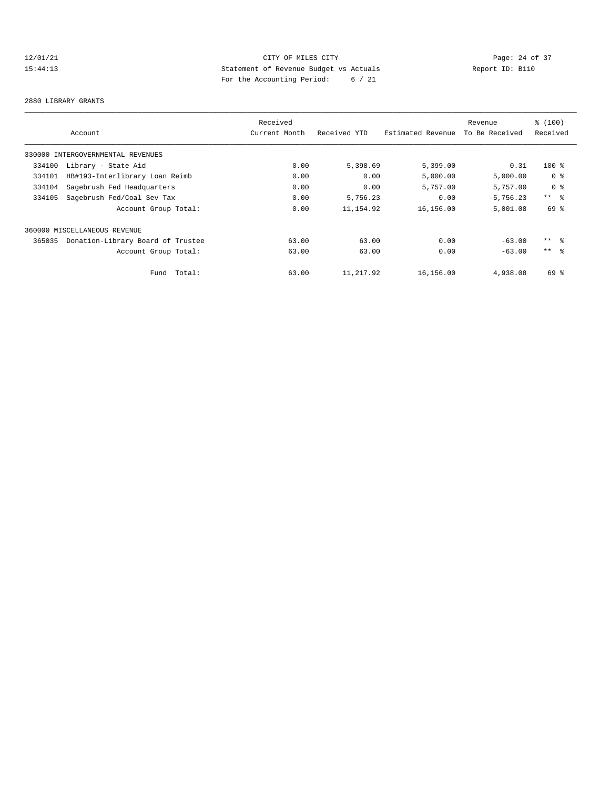# 12/01/21 Page: 24 of 37 15:44:13 Statement of Revenue Budget vs Actuals Report ID: B110 For the Accounting Period: 6 / 21

#### 2880 LIBRARY GRANTS

|        |                                   | Received      |              |                   | Revenue        | % (100)         |
|--------|-----------------------------------|---------------|--------------|-------------------|----------------|-----------------|
|        | Account                           | Current Month | Received YTD | Estimated Revenue | To Be Received | Received        |
|        | 330000 INTERGOVERNMENTAL REVENUES |               |              |                   |                |                 |
| 334100 | Library - State Aid               | 0.00          | 5,398.69     | 5,399.00          | 0.31           | $100*$          |
| 334101 | HB#193-Interlibrary Loan Reimb    | 0.00          | 0.00         | 5,000.00          | 5,000.00       | 0 %             |
| 334104 | Sagebrush Fed Headquarters        | 0.00          | 0.00         | 5,757.00          | 5,757.00       | 0 %             |
| 334105 | Sagebrush Fed/Coal Sev Tax        | 0.00          | 5,756.23     | 0.00              | $-5,756.23$    | $***$ $\approx$ |
|        | Account Group Total:              | 0.00          | 11,154.92    | 16,156.00         | 5,001.08       | 69 %            |
|        | 360000 MISCELLANEOUS REVENUE      |               |              |                   |                |                 |
| 365035 | Donation-Library Board of Trustee | 63.00         | 63.00        | 0.00              | $-63.00$       | $***$ $ -$      |
|        | Account Group Total:              | 63.00         | 63.00        | 0.00              | $-63.00$       | $***$ $\approx$ |
|        | Fund Total:                       | 63.00         | 11,217.92    | 16,156.00         | 4,938.08       | 69%             |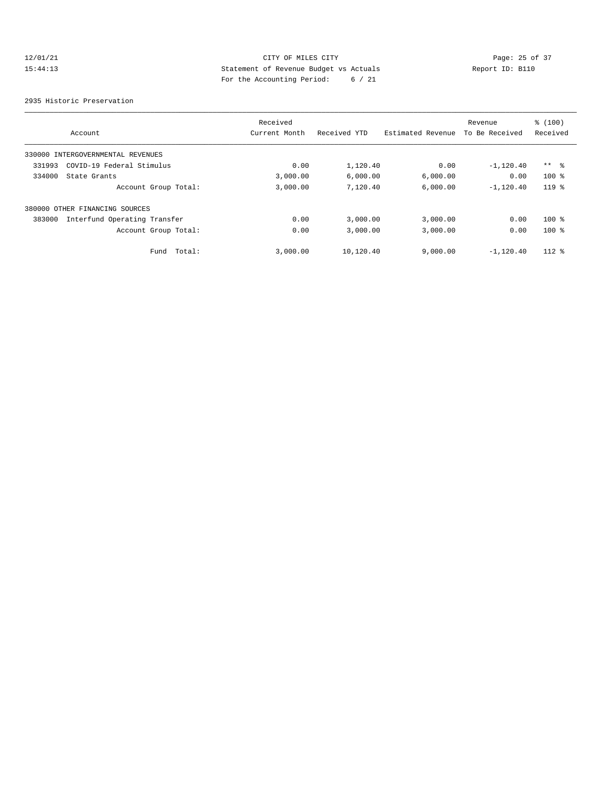# 12/01/21 Page: 25 of 37 15:44:13 Statement of Revenue Budget vs Actuals Report ID: B110 For the Accounting Period: 6 / 21

2935 Historic Preservation

|        |                                   | Received      |              |                   | Revenue        | % (100)         |
|--------|-----------------------------------|---------------|--------------|-------------------|----------------|-----------------|
|        | Account                           | Current Month | Received YTD | Estimated Revenue | To Be Received | Received        |
|        | 330000 INTERGOVERNMENTAL REVENUES |               |              |                   |                |                 |
| 331993 | COVID-19 Federal Stimulus         | 0.00          | 1,120.40     | 0.00              | $-1,120.40$    | $***$ $\approx$ |
| 334000 | State Grants                      | 3,000.00      | 6,000.00     | 6,000.00          | 0.00           | $100*$          |
|        | Account Group Total:              | 3,000.00      | 7,120.40     | 6,000.00          | $-1,120,40$    | $119*$          |
|        | 380000 OTHER FINANCING SOURCES    |               |              |                   |                |                 |
| 383000 | Interfund Operating Transfer      | 0.00          | 3,000.00     | 3,000.00          | 0.00           | $100$ %         |
|        | Account Group Total:              | 0.00          | 3,000.00     | 3,000.00          | 0.00           | $100$ %         |
|        | Total:<br>Fund                    | 3,000.00      | 10,120.40    | 9,000.00          | $-1,120.40$    | $112*$          |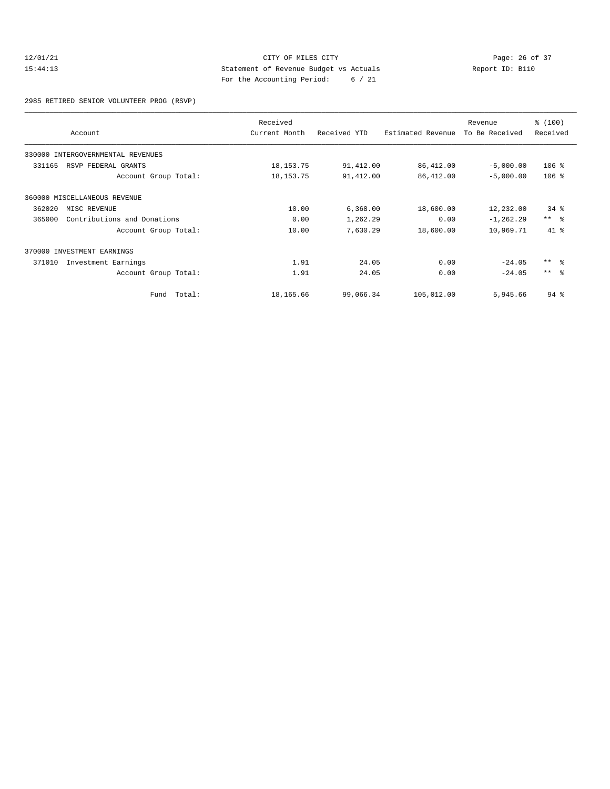### 12/01/21 Page: 26 of 37<br>15:44:13 CITY OF MILES CITY Page: 26 of 37<br>15:44:13 Statement of Revenue Budget vs Actuals<br>19.10 Page: 26 of 37 15:44:13 Statement of Revenue Budget vs Actuals Report ID: B110 For the Accounting Period: 6 / 21

2985 RETIRED SENIOR VOLUNTEER PROG (RSVP)

|        | Account                           | Received<br>Current Month | Received YTD | Estimated Revenue | Revenue<br>To Be Received | % (100)<br>Received |
|--------|-----------------------------------|---------------------------|--------------|-------------------|---------------------------|---------------------|
|        | 330000 INTERGOVERNMENTAL REVENUES |                           |              |                   |                           |                     |
| 331165 | RSVP FEDERAL GRANTS               | 18, 153. 75               | 91,412.00    | 86, 412.00        | $-5,000.00$               | $106$ %             |
|        | Account Group Total:              | 18, 153. 75               | 91,412.00    | 86, 412.00        | $-5,000.00$               | $106$ %             |
|        | 360000 MISCELLANEOUS REVENUE      |                           |              |                   |                           |                     |
| 362020 | MISC REVENUE                      | 10.00                     | 6,368.00     | 18,600.00         | 12,232.00                 | $34*$               |
| 365000 | Contributions and Donations       | 0.00                      | 1,262.29     | 0.00              | $-1, 262.29$              | $***$ $ -$          |
|        | Account Group Total:              | 10.00                     | 7,630.29     | 18,600.00         | 10,969.71                 | 41.8                |
| 370000 | INVESTMENT EARNINGS               |                           |              |                   |                           |                     |
| 371010 | Investment Earnings               | 1.91                      | 24.05        | 0.00              | $-24.05$                  | $***$ $ -$          |
|        | Account Group Total:              | 1.91                      | 24.05        | 0.00              | $-24.05$                  | $***$ $ -$          |
|        | Total:<br>Fund                    | 18,165.66                 | 99,066.34    | 105,012.00        | 5,945.66                  | $94$ $%$            |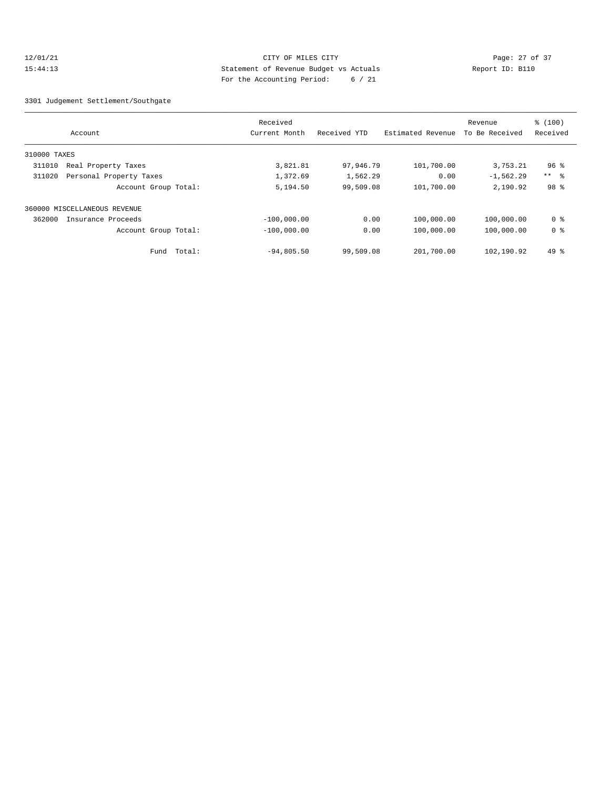### 12/01/21 Page: 27 of 37 15:44:13 Statement of Revenue Budget vs Actuals Report ID: B110 For the Accounting Period: 6 / 21

3301 Judgement Settlement/Southgate

|              |                              | Received      |              |                   | Revenue        | % (100)        |
|--------------|------------------------------|---------------|--------------|-------------------|----------------|----------------|
|              | Account                      | Current Month | Received YTD | Estimated Revenue | To Be Received | Received       |
| 310000 TAXES |                              |               |              |                   |                |                |
| 311010       | Real Property Taxes          | 3,821.81      | 97,946.79    | 101,700.00        | 3,753.21       | $96$ %         |
| 311020       | Personal Property Taxes      | 1,372.69      | 1,562.29     | 0.00              | $-1,562.29$    | $***$ $ -$     |
|              | Account Group Total:         | 5,194.50      | 99,509.08    | 101,700.00        | 2,190.92       | 98 %           |
|              | 360000 MISCELLANEOUS REVENUE |               |              |                   |                |                |
| 362000       | Insurance Proceeds           | $-100.000.00$ | 0.00         | 100,000.00        | 100,000.00     | 0 <sup>8</sup> |
|              | Account Group Total:         | $-100,000.00$ | 0.00         | 100,000.00        | 100,000.00     | 0 <sup>8</sup> |
|              | Total:<br>Fund               | $-94,805.50$  | 99,509.08    | 201,700.00        | 102,190.92     | $49*$          |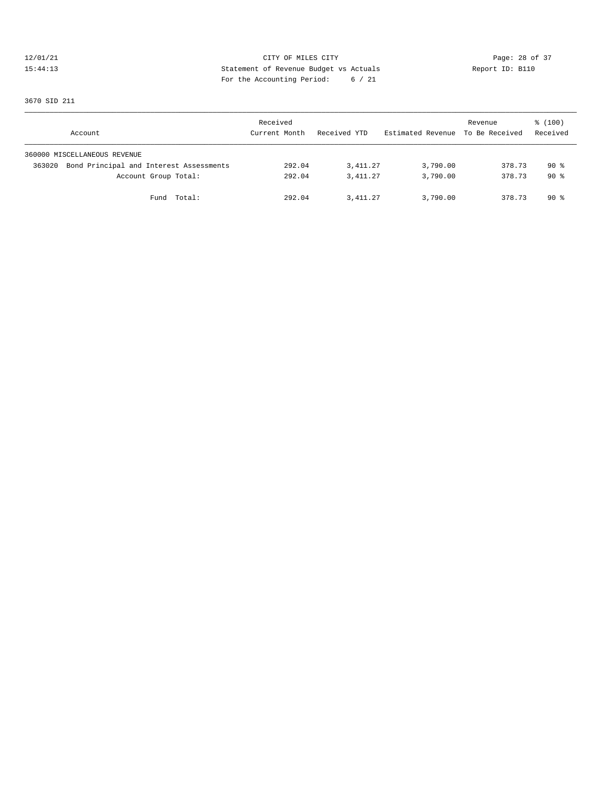# 12/01/21 CITY OF MILES CITY<br>15:44:13 Dege: 28 of 37<br>15:44:13 CITY OF MILES CITY<br>15:44:13 Report ID: B110 15:44:13 Statement of Revenue Budget vs Actuals Report ID: B110 For the Accounting Period: 6 / 21

3670 SID 211

| Account                                           | Received<br>Current Month | Received YTD | Estimated Revenue To Be Received | Revenue | % (100)<br>Received |
|---------------------------------------------------|---------------------------|--------------|----------------------------------|---------|---------------------|
| 360000 MISCELLANEOUS REVENUE                      |                           |              |                                  |         |                     |
| Bond Principal and Interest Assessments<br>363020 | 292.04                    | 3,411.27     | 3,790.00                         | 378.73  | $90*$               |
| Account Group Total:                              | 292.04                    | 3, 411.27    | 3,790.00                         | 378.73  | $90*$               |
| Fund Total:                                       | 292.04                    | 3,411.27     | 3,790.00                         | 378.73  | 90 %                |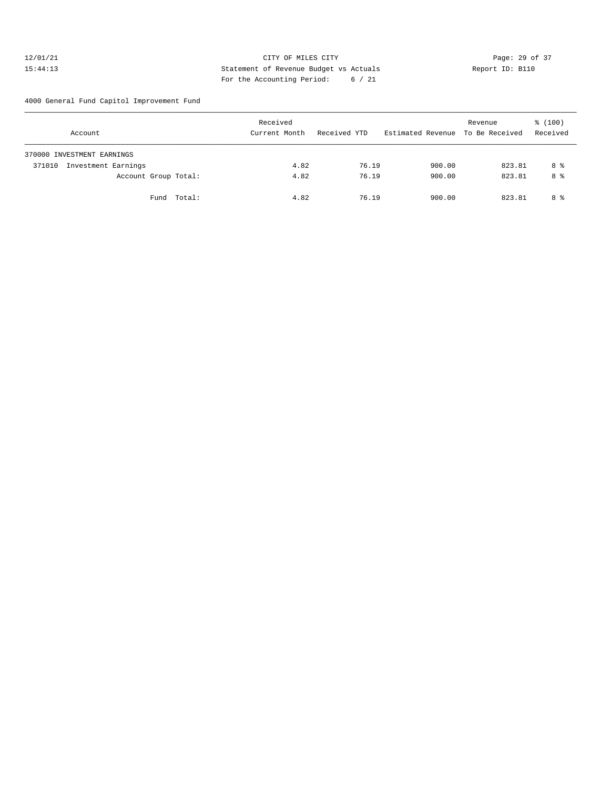### 12/01/21 Page: 29 of 37 15:44:13 Statement of Revenue Budget vs Actuals Report ID: B110 For the Accounting Period: 6 / 21

4000 General Fund Capitol Improvement Fund

| Account                       | Received<br>Current Month | Received YTD | Estimated Revenue To Be Received | Revenue | % (100)<br>Received |
|-------------------------------|---------------------------|--------------|----------------------------------|---------|---------------------|
| 370000 INVESTMENT EARNINGS    |                           |              |                                  |         |                     |
| Investment Earnings<br>371010 | 4.82                      | 76.19        | 900.00                           | 823.81  | 8 %                 |
| Account Group Total:          | 4.82                      | 76.19        | 900.00                           | 823.81  | 8 %                 |
| Total:<br>Fund                | 4.82                      | 76.19        | 900.00                           | 823.81  | 8 %                 |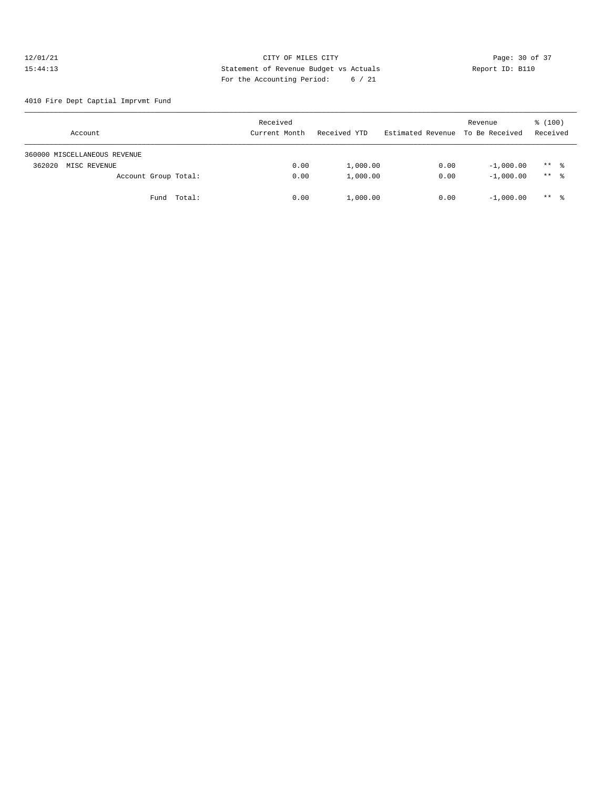### 12/01/21 Page: 30 of 37<br>15:44:13 CITY OF MILES CITY Page: 30 of 37<br>15:44:13 Statement of Revenue Budget vs Actuals Report ID: B110 15:44:13 Statement of Revenue Budget vs Actuals Report ID: B110 For the Accounting Period: 6 / 21

4010 Fire Dept Captial Imprvmt Fund

| Account                      | Received<br>Current Month | Received YTD | Estimated Revenue To Be Received | Revenue     | % (100)<br>Received |
|------------------------------|---------------------------|--------------|----------------------------------|-------------|---------------------|
| 360000 MISCELLANEOUS REVENUE |                           |              |                                  |             |                     |
| 362020<br>MISC REVENUE       | 0.00                      | 1,000.00     | 0.00                             | $-1,000.00$ | $***$ $\frac{6}{6}$ |
| Account Group Total:         | 0.00                      | 1,000.00     | 0.00                             | $-1.000.00$ | ** 8                |
| Fund Total:                  | 0.00                      | 1,000.00     | 0.00                             | $-1.000.00$ | $***$ $\frac{6}{6}$ |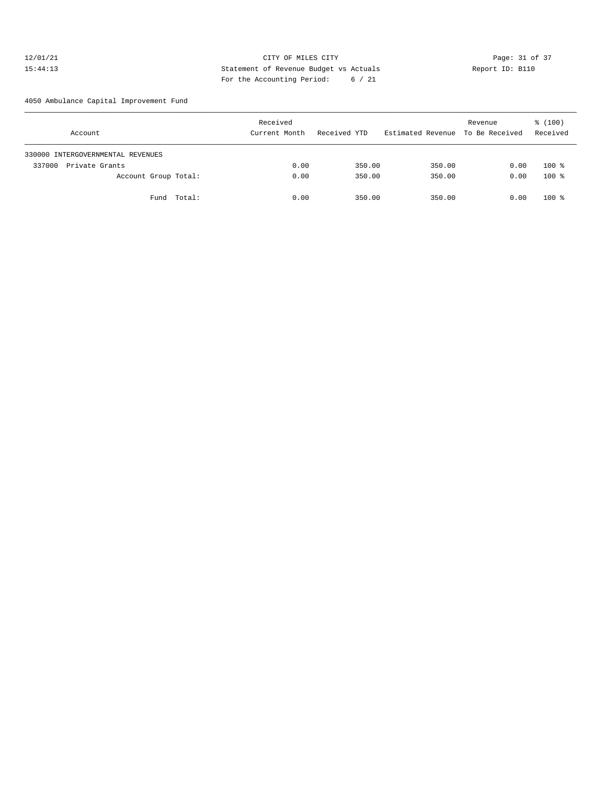### 12/01/21 Page: 31 of 37 15:44:13 Statement of Revenue Budget vs Actuals Report ID: B110 For the Accounting Period: 6 / 21

4050 Ambulance Capital Improvement Fund

| Account                           | Received<br>Current Month | Received YTD | Estimated Revenue To Be Received | Revenue | % (100)<br>Received |
|-----------------------------------|---------------------------|--------------|----------------------------------|---------|---------------------|
| 330000 INTERGOVERNMENTAL REVENUES |                           |              |                                  |         |                     |
| 337000<br>Private Grants          | 0.00                      | 350.00       | 350.00                           | 0.00    | $100*$              |
| Account Group Total:              | 0.00                      | 350.00       | 350.00                           | 0.00    | $100*$              |
| Fund Total:                       | 0.00                      | 350.00       | 350.00                           | 0.00    | $100$ %             |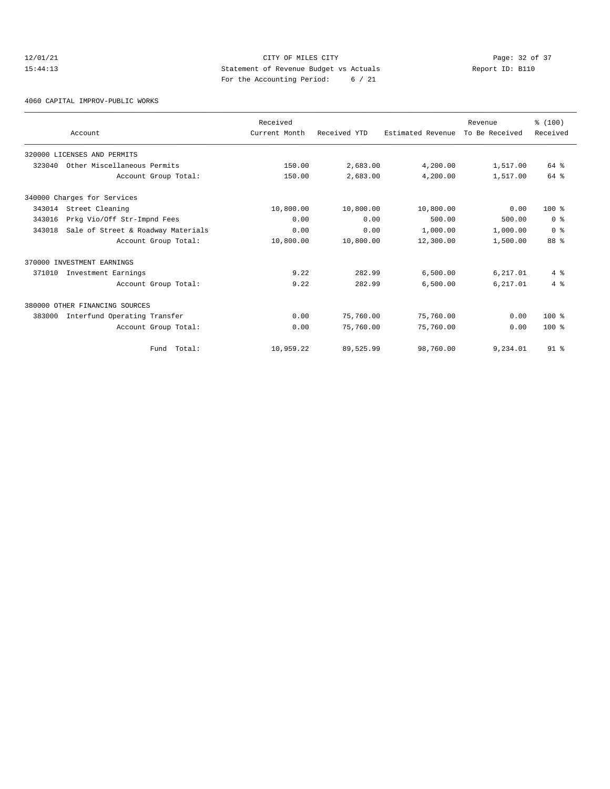# 12/01/21 Page: 32 of 37<br>15:44:13 CITY OF MILES CITY Page: 32 of 37<br>15:44:13 Statement of Revenue Budget vs Actuals<br>19.10 Page: 32 of 37 15:44:13 Statement of Revenue Budget vs Actuals Report ID: B110 For the Accounting Period: 6 / 21

#### 4060 CAPITAL IMPROV-PUBLIC WORKS

|        |                                    | Received      |              |                   | Revenue        | % (100)        |
|--------|------------------------------------|---------------|--------------|-------------------|----------------|----------------|
|        | Account                            | Current Month | Received YTD | Estimated Revenue | To Be Received | Received       |
|        | 320000 LICENSES AND PERMITS        |               |              |                   |                |                |
| 323040 | Other Miscellaneous Permits        | 150.00        | 2,683.00     | 4,200.00          | 1,517.00       | 64 %           |
|        | Account Group Total:               | 150.00        | 2,683.00     | 4,200.00          | 1,517.00       | 64 %           |
|        | 340000 Charges for Services        |               |              |                   |                |                |
| 343014 | Street Cleaning                    | 10,800.00     | 10,800.00    | 10,800.00         | 0.00           | $100*$         |
| 343016 | Prkg Vio/Off Str-Impnd Fees        | 0.00          | 0.00         | 500.00            | 500.00         | 0 <sup>8</sup> |
| 343018 | Sale of Street & Roadway Materials | 0.00          | 0.00         | 1,000.00          | 1,000.00       | 0 <sup>8</sup> |
|        | Account Group Total:               | 10,800.00     | 10,800.00    | 12,300.00         | 1,500.00       | 88 %           |
|        | 370000 INVESTMENT EARNINGS         |               |              |                   |                |                |
| 371010 | Investment Earnings                | 9.22          | 282.99       | 6,500.00          | 6,217.01       | $4\degree$     |
|        | Account Group Total:               | 9.22          | 282.99       | 6,500.00          | 6,217.01       | 4%             |
|        | 380000 OTHER FINANCING SOURCES     |               |              |                   |                |                |
| 383000 | Interfund Operating Transfer       | 0.00          | 75,760.00    | 75,760.00         | 0.00           | $100*$         |
|        | Account Group Total:               | 0.00          | 75,760.00    | 75,760.00         | 0.00           | $100*$         |
|        | Fund Total:                        | 10,959.22     | 89,525.99    | 98,760.00         | 9,234.01       | $91*$          |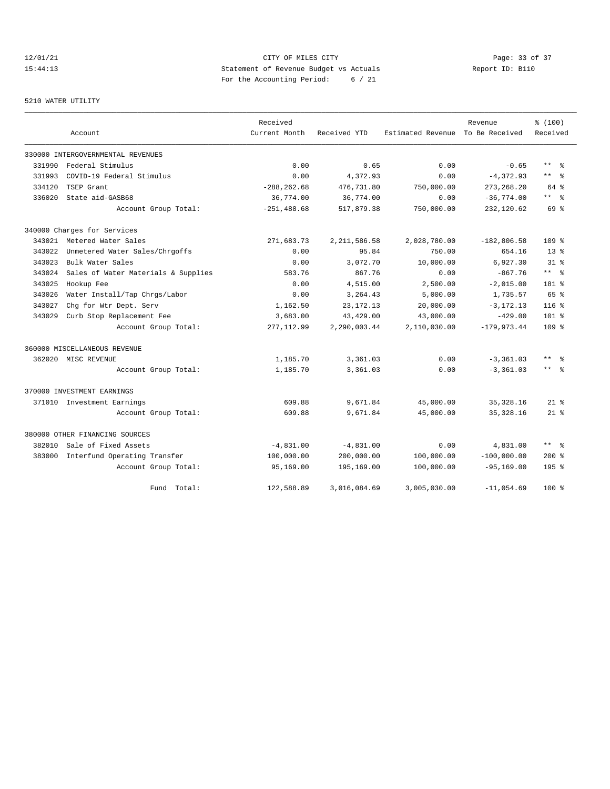### 12/01/21 Page: 33 of 37 15:44:13 Statement of Revenue Budget vs Actuals Report ID: B110 For the Accounting Period: 6 / 21

#### 5210 WATER UTILITY

|        |                                     | Received       |                |                   | Revenue        | % (100)          |
|--------|-------------------------------------|----------------|----------------|-------------------|----------------|------------------|
|        | Account                             | Current Month  | Received YTD   | Estimated Revenue | To Be Received | Received         |
|        | 330000 INTERGOVERNMENTAL REVENUES   |                |                |                   |                |                  |
| 331990 | Federal Stimulus                    | 0.00           | 0.65           | 0.00              | $-0.65$        | $***$ %          |
| 331993 | COVID-19 Federal Stimulus           | 0.00           | 4,372.93       | 0.00              | $-4,372.93$    | $***$ %          |
| 334120 | TSEP Grant                          | $-288, 262.68$ | 476,731.80     | 750,000.00        | 273, 268.20    | 64 %             |
| 336020 | State aid-GASB68                    | 36,774.00      | 36,774.00      | 0.00              | $-36,774.00$   | $***$ 2          |
|        | Account Group Total:                | $-251, 488.68$ | 517,879.38     | 750,000.00        | 232,120.62     | 69 %             |
|        | 340000 Charges for Services         |                |                |                   |                |                  |
| 343021 | Metered Water Sales                 | 271,683.73     | 2, 211, 586.58 | 2,028,780.00      | $-182, 806.58$ | 109 %            |
| 343022 | Unmetered Water Sales/Chrgoffs      | 0.00           | 95.84          | 750.00            | 654.16         | 13 <sup>8</sup>  |
| 343023 | Bulk Water Sales                    | 0.00           | 3,072.70       | 10,000.00         | 6,927.30       | $31*$            |
| 343024 | Sales of Water Materials & Supplies | 583.76         | 867.76         | 0.00              | $-867.76$      | $***$ $ -$       |
| 343025 | Hookup Fee                          | 0.00           | 4,515.00       | 2,500.00          | $-2,015.00$    | 181 %            |
| 343026 | Water Install/Tap Chrgs/Labor       | 0.00           | 3,264.43       | 5,000.00          | 1,735.57       | 65 %             |
| 343027 | Chg for Wtr Dept. Serv              | 1,162.50       | 23, 172. 13    | 20,000.00         | $-3, 172.13$   | 116 <sup>8</sup> |
| 343029 | Curb Stop Replacement Fee           | 3,683.00       | 43, 429.00     | 43,000.00         | $-429.00$      | $101*$           |
|        | Account Group Total:                | 277, 112.99    | 2,290,003.44   | 2,110,030.00      | $-179,973.44$  | 109 %            |
|        | 360000 MISCELLANEOUS REVENUE        |                |                |                   |                |                  |
|        | 362020 MISC REVENUE                 | 1,185.70       | 3,361.03       | 0.00              | $-3, 361.03$   | $***$ $=$        |
|        | Account Group Total:                | 1,185.70       | 3,361.03       | 0.00              | $-3, 361.03$   | $***$ $ -$       |
|        | 370000 INVESTMENT EARNINGS          |                |                |                   |                |                  |
|        | 371010 Investment Earnings          | 609.88         | 9,671.84       | 45,000.00         | 35, 328.16     | $21*$            |
|        | Account Group Total:                | 609.88         | 9,671.84       | 45,000.00         | 35, 328.16     | $21$ %           |
|        | 380000 OTHER FINANCING SOURCES      |                |                |                   |                |                  |
| 382010 | Sale of Fixed Assets                | $-4,831.00$    | $-4,831.00$    | 0.00              | 4,831.00       | $***$ $=$        |
| 383000 | Interfund Operating Transfer        | 100,000.00     | 200,000.00     | 100,000.00        | $-100,000.00$  | $200*$           |
|        | Account Group Total:                | 95,169.00      | 195,169.00     | 100,000.00        | $-95, 169.00$  | $195$ %          |
|        | Fund Total:                         | 122,588.89     | 3,016,084.69   | 3,005,030.00      | $-11,054.69$   | $100*$           |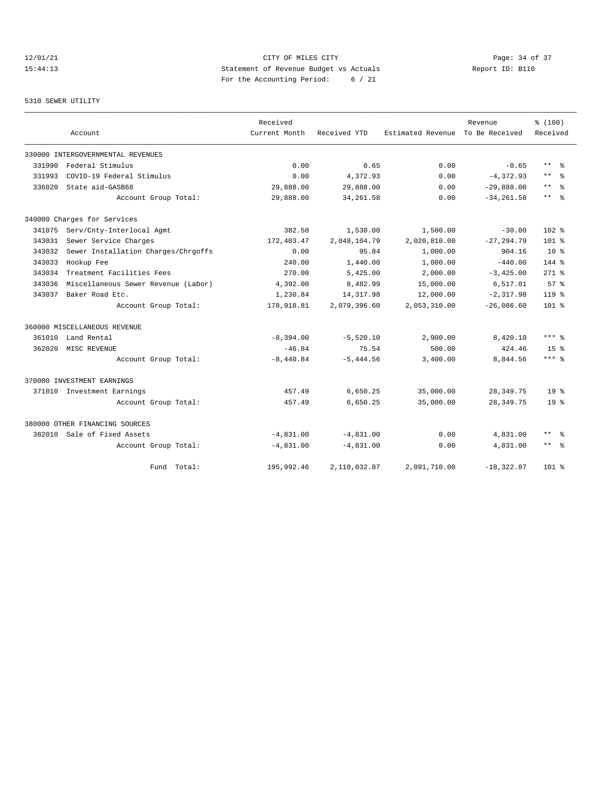### 12/01/21 Page: 34 of 37 15:44:13 Statement of Revenue Budget vs Actuals Report ID: B110 For the Accounting Period: 6 / 21

#### 5310 SEWER UTILITY

|        |                                     | Received      |              |                   | Revenue        | % (100)               |
|--------|-------------------------------------|---------------|--------------|-------------------|----------------|-----------------------|
|        | Account                             | Current Month | Received YTD | Estimated Revenue | To Be Received | Received              |
|        | 330000 INTERGOVERNMENTAL REVENUES   |               |              |                   |                |                       |
| 331990 | Federal Stimulus                    | 0.00          | 0.65         | 0.00              | $-0.65$        | $***$ $=$             |
| 331993 | COVID-19 Federal Stimulus           | 0.00          | 4,372.93     | 0.00              | $-4,372.93$    | $***$<br>- 응          |
| 336020 | State aid-GASB68                    | 29,888.00     | 29,888.00    | 0.00              | $-29,888.00$   | $\star$ $\star$<br>ွေ |
|        | Account Group Total:                | 29,888.00     | 34, 261.58   | 0.00              | $-34, 261.58$  | $***$ $%$             |
|        | 340000 Charges for Services         |               |              |                   |                |                       |
| 341075 | Serv/Cnty-Interlocal Agmt           | 382.50        | 1,530.00     | 1,500.00          | $-30.00$       | $102$ %               |
| 343031 | Sewer Service Charges               | 172,403.47    | 2,048,104.79 | 2,020,810.00      | $-27, 294.79$  | $101*$                |
| 343032 | Sewer Installation Charges/Chrgoffs | 0.00          | 95.84        | 1,000.00          | 904.16         | 10 <sup>8</sup>       |
| 343033 | Hookup Fee                          | 240.00        | 1,440.00     | 1,000.00          | $-440.00$      | 144 %                 |
| 343034 | Treatment Facilities Fees           | 270.00        | 5,425.00     | 2,000.00          | $-3,425.00$    | $271$ %               |
| 343036 | Miscellaneous Sewer Revenue (Labor) | 4,392.00      | 8,482.99     | 15,000.00         | 6,517.01       | 57 <sup>8</sup>       |
| 343037 | Baker Road Etc.                     | 1,230.84      | 14, 317.98   | 12,000.00         | $-2, 317.98$   | $119*$                |
|        | Account Group Total:                | 178,918.81    | 2,079,396.60 | 2,053,310.00      | $-26,086.60$   | 101 <sub>8</sub>      |
|        | 360000 MISCELLANEOUS REVENUE        |               |              |                   |                |                       |
| 361010 | Land Rental                         | $-8,394.00$   | $-5,520.10$  | 2,900.00          | 8,420.10       | $***$ 2               |
| 362020 | MISC REVENUE                        | $-46.84$      | 75.54        | 500.00            | 424.46         | 15 <sup>°</sup>       |
|        | Account Group Total:                | $-8,440.84$   | $-5,444.56$  | 3,400.00          | 8,844.56       | $***$ %               |
|        | 370000 INVESTMENT EARNINGS          |               |              |                   |                |                       |
| 371010 | Investment Earnings                 | 457.49        | 6,650.25     | 35,000.00         | 28, 349. 75    | 19 <sup>°</sup>       |
|        | Account Group Total:                | 457.49        | 6,650.25     | 35,000.00         | 28, 349. 75    | 19 <sup>°</sup>       |
|        | 380000 OTHER FINANCING SOURCES      |               |              |                   |                |                       |
| 382010 | Sale of Fixed Assets                | $-4,831.00$   | $-4,831.00$  | 0.00              | 4,831.00       | $***$ $=$             |
|        | Account Group Total:                | $-4,831.00$   | $-4,831.00$  | 0.00              | 4,831.00       | $***$ $%$             |
|        | Fund Total:                         | 195,992.46    | 2,110,032.87 | 2,091,710.00      | $-18, 322.87$  | $101$ %               |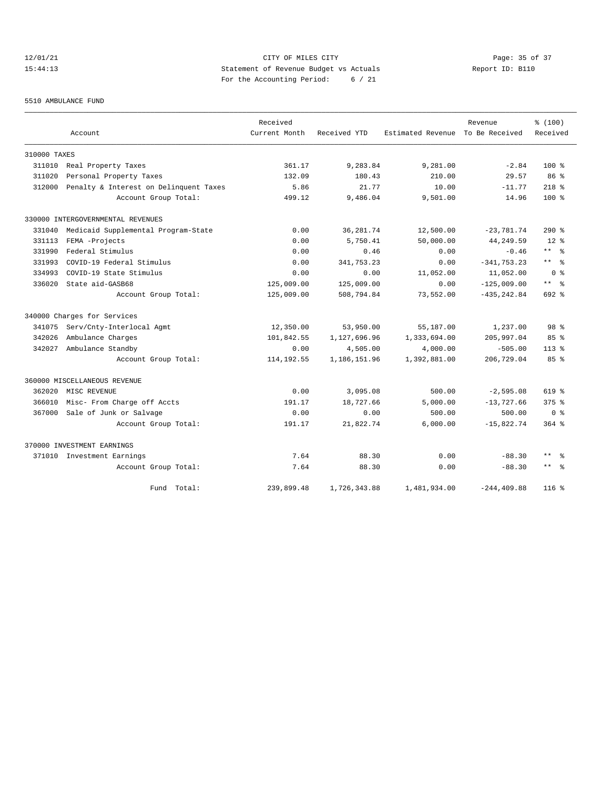# 12/01/21 Page: 35 of 37 15:44:13 Statement of Revenue Budget vs Actuals Report ID: B110 For the Accounting Period: 6 / 21

#### 5510 AMBULANCE FUND

|              |                                        | Received      |              |                   | Revenue        | % (100)         |
|--------------|----------------------------------------|---------------|--------------|-------------------|----------------|-----------------|
|              | Account                                | Current Month | Received YTD | Estimated Revenue | To Be Received | Received        |
| 310000 TAXES |                                        |               |              |                   |                |                 |
| 311010       | Real Property Taxes                    | 361.17        | 9,283.84     | 9,281.00          | $-2.84$        | $100$ %         |
| 311020       | Personal Property Taxes                | 132.09        | 180.43       | 210.00            | 29.57          | 86 <sup>8</sup> |
| 312000       | Penalty & Interest on Delinquent Taxes | 5.86          | 21.77        | 10.00             | $-11.77$       | $218$ %         |
|              | Account Group Total:                   | 499.12        | 9,486.04     | 9,501.00          | 14.96          | $100*$          |
|              | 330000 INTERGOVERNMENTAL REVENUES      |               |              |                   |                |                 |
| 331040       | Medicaid Supplemental Program-State    | 0.00          | 36, 281.74   | 12,500.00         | $-23,781.74$   | $290*$          |
| 331113       | FEMA -Projects                         | 0.00          | 5,750.41     | 50,000.00         | 44, 249.59     | $12*$           |
| 331990       | Federal Stimulus                       | 0.00          | 0.46         | 0.00              | $-0.46$        | $***$ $=$       |
| 331993       | COVID-19 Federal Stimulus              | 0.00          | 341,753.23   | 0.00              | $-341, 753.23$ | $***$ $ -$      |
| 334993       | COVID-19 State Stimulus                | 0.00          | 0.00         | 11,052.00         | 11,052.00      | ი ჵ             |
| 336020       | State aid-GASB68                       | 125,009.00    | 125,009.00   | 0.00              | $-125,009.00$  | $***$ $=$       |
|              | Account Group Total:                   | 125,009.00    | 508,794.84   | 73,552.00         | $-435, 242.84$ | 692 %           |
|              | 340000 Charges for Services            |               |              |                   |                |                 |
| 341075       | Serv/Cnty-Interlocal Agmt              | 12,350.00     | 53,950.00    | 55,187.00         | 1,237.00       | 98 %            |
| 342026       | Ambulance Charges                      | 101,842.55    | 1,127,696.96 | 1,333,694.00      | 205,997.04     | $85*$           |
| 342027       | Ambulance Standby                      | 0.00          | 4,505.00     | 4,000.00          | $-505.00$      | $113*$          |
|              | Account Group Total:                   | 114, 192.55   | 1,186,151.96 | 1,392,881.00      | 206,729.04     | $85*$           |
|              | 360000 MISCELLANEOUS REVENUE           |               |              |                   |                |                 |
| 362020       | MISC REVENUE                           | 0.00          | 3,095.08     | 500.00            | $-2,595.08$    | 619 %           |
| 366010       | Misc- From Charge off Accts            | 191.17        | 18,727.66    | 5,000.00          | $-13,727.66$   | $375$ $%$       |
| 367000       | Sale of Junk or Salvage                | 0.00          | 0.00         | 500.00            | 500.00         | 0 <sup>8</sup>  |
|              | Account Group Total:                   | 191.17        | 21,822.74    | 6,000.00          | $-15,822.74$   | $364$ $%$       |
|              | 370000 INVESTMENT EARNINGS             |               |              |                   |                |                 |
|              | 371010 Investment Earnings             | 7.64          | 88.30        | 0.00              | $-88.30$       | $***$<br>- 옹    |
|              | Account Group Total:                   | 7.64          | 88.30        | 0.00              | $-88.30$       | $***$ $-$       |
|              | Fund Total:                            | 239,899.48    | 1,726,343.88 | 1,481,934.00      | $-244.409.88$  | $116*$          |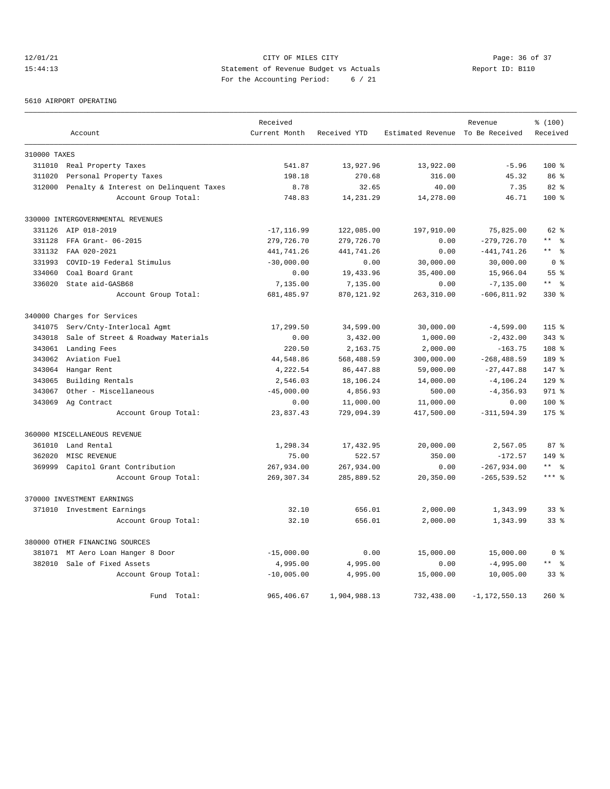# $12/01/21$  Page: 36 of 37<br>15:44:13 15:44:13 Statement of Revenue Budget vs Actuals  $\frac{12}{15}$  Report ID: B110 15:44:13 Statement of Revenue Budget vs Actuals Report ID: B110 For the Accounting Period: 6 / 21

#### 5610 AIRPORT OPERATING

|              |                                        | Received      |              |                   | Revenue           | % (100)          |
|--------------|----------------------------------------|---------------|--------------|-------------------|-------------------|------------------|
|              | Account                                | Current Month | Received YTD | Estimated Revenue | To Be Received    | Received         |
| 310000 TAXES |                                        |               |              |                   |                   |                  |
| 311010       | Real Property Taxes                    | 541.87        | 13,927.96    | 13,922.00         | $-5.96$           | 100 <sub>8</sub> |
| 311020       | Personal Property Taxes                | 198.18        | 270.68       | 316.00            | 45.32             | 86 <sup>8</sup>  |
| 312000       | Penalty & Interest on Delinquent Taxes | 8.78          | 32.65        | 40.00             | 7.35              | $82*$            |
|              | Account Group Total:                   | 748.83        | 14, 231. 29  | 14,278.00         | 46.71             | $100*$           |
|              | 330000 INTERGOVERNMENTAL REVENUES      |               |              |                   |                   |                  |
| 331126       | AIP 018-2019                           | $-17, 116.99$ | 122,085.00   | 197,910.00        | 75,825.00         | $62$ $%$         |
| 331128       | FFA Grant- 06-2015                     | 279,726.70    | 279,726.70   | 0.00              | $-279,726.70$     | $***$ $%$        |
| 331132       | FAA 020-2021                           | 441,741.26    | 441,741.26   | 0.00              | $-441, 741.26$    | ** %             |
| 331993       | COVID-19 Federal Stimulus              | $-30,000.00$  | 0.00         | 30,000.00         | 30,000.00         | 0 <sup>8</sup>   |
| 334060       | Coal Board Grant                       | 0.00          | 19,433.96    | 35,400.00         | 15,966.04         | 55 %             |
| 336020       | State aid-GASB68                       | 7,135.00      | 7,135.00     | 0.00              | $-7, 135.00$      | $***$ $ -$       |
|              | Account Group Total:                   | 681, 485.97   | 870,121.92   | 263, 310.00       | $-606, 811.92$    | 330 %            |
|              | 340000 Charges for Services            |               |              |                   |                   |                  |
| 341075       | Serv/Cnty-Interlocal Agmt              | 17,299.50     | 34,599.00    | 30,000.00         | $-4,599.00$       | 115 <sub>8</sub> |
| 343018       | Sale of Street & Roadway Materials     | 0.00          | 3,432.00     | 1,000.00          | $-2,432.00$       | $343$ $%$        |
| 343061       | Landing Fees                           | 220.50        | 2,163.75     | 2,000.00          | $-163.75$         | 108 <sup>8</sup> |
| 343062       | Aviation Fuel                          | 44,548.86     | 568,488.59   | 300,000.00        | $-268, 488.59$    | $189*$           |
| 343064       | Hangar Rent                            | 4,222.54      | 86, 447.88   | 59,000.00         | $-27, 447.88$     | 147 %            |
| 343065       | Building Rentals                       | 2,546.03      | 18,106.24    | 14,000.00         | $-4, 106.24$      | $129$ %          |
| 343067       | Other - Miscellaneous                  | $-45,000.00$  | 4,856.93     | 500.00            | $-4, 356.93$      | $971$ %          |
| 343069       | Ag Contract                            | 0.00          | 11,000.00    | 11,000.00         | 0.00              | 100 %            |
|              | Account Group Total:                   | 23,837.43     | 729,094.39   | 417,500.00        | $-311, 594.39$    | $175$ $%$        |
|              | 360000 MISCELLANEOUS REVENUE           |               |              |                   |                   |                  |
| 361010       | Land Rental                            | 1,298.34      | 17,432.95    | 20,000.00         | 2,567.05          | 87%              |
| 362020       | MISC REVENUE                           | 75.00         | 522.57       | 350.00            | $-172.57$         | $149$ %          |
| 369999       | Capitol Grant Contribution             | 267,934.00    | 267,934.00   | 0.00              | $-267,934.00$     | $***$ $%$        |
|              | Account Group Total:                   | 269, 307.34   | 285,889.52   | 20,350.00         | $-265, 539.52$    | $***$ %          |
|              | 370000 INVESTMENT EARNINGS             |               |              |                   |                   |                  |
|              | 371010 Investment Earnings             | 32.10         | 656.01       | 2,000.00          | 1,343.99          | 33 <sup>8</sup>  |
|              | Account Group Total:                   | 32.10         | 656.01       | 2,000.00          | 1,343.99          | 33 <sup>8</sup>  |
|              | 380000 OTHER FINANCING SOURCES         |               |              |                   |                   |                  |
| 381071       | MT Aero Loan Hanger 8 Door             | $-15,000.00$  | 0.00         | 15,000.00         | 15,000.00         | 0 <sup>8</sup>   |
|              | 382010 Sale of Fixed Assets            | 4,995.00      | 4,995.00     | 0.00              | $-4,995.00$       | $***$ $%$        |
|              | Account Group Total:                   | $-10,005.00$  | 4,995.00     | 15,000.00         | 10,005.00         | 33 <sup>8</sup>  |
|              | Fund Total:                            | 965,406.67    | 1,904,988.13 | 732,438.00        | $-1, 172, 550.13$ | 260%             |